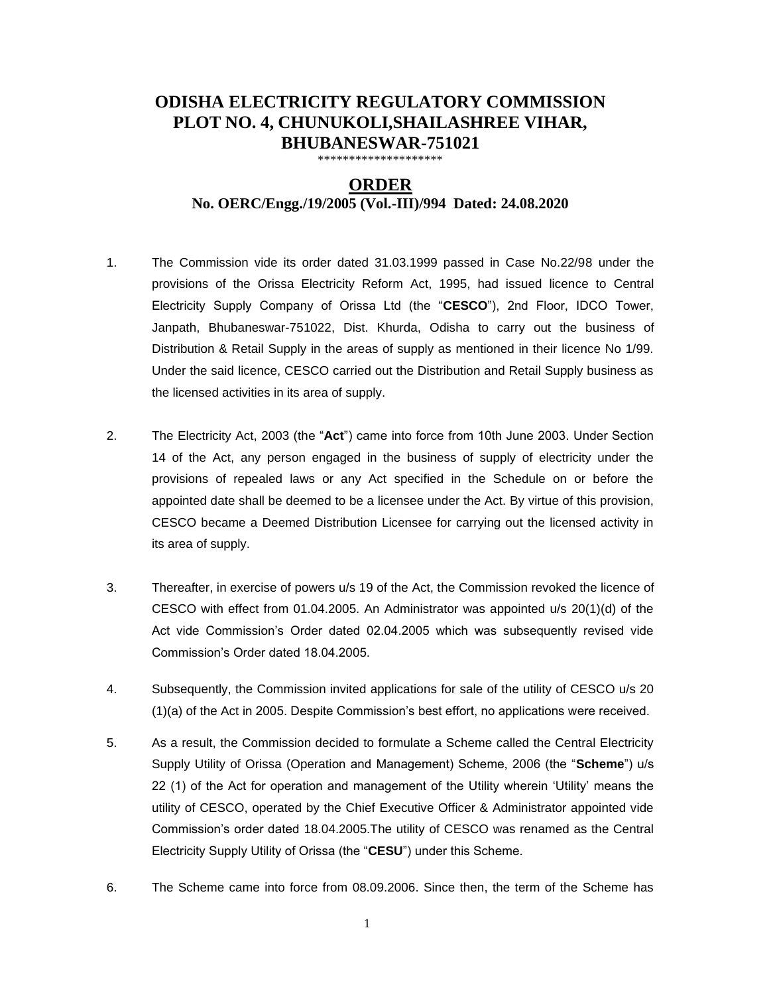## **ODISHA ELECTRICITY REGULATORY COMMISSION PLOT NO. 4, CHUNUKOLI,SHAILASHREE VIHAR, BHUBANESWAR-751021**

\*\*\*\*\*\*\*\*\*\*\*\*\*\*\*\*\*\*

## **ORDER**

## **No. OERC/Engg./19/2005 (Vol.-III)/994 Dated: 24.08.2020**

- 1. The Commission vide its order dated 31.03.1999 passed in Case No.22/98 under the provisions of the Orissa Electricity Reform Act, 1995, had issued licence to Central Electricity Supply Company of Orissa Ltd (the "**CESCO**"), 2nd Floor, IDCO Tower, Janpath, Bhubaneswar-751022, Dist. Khurda, Odisha to carry out the business of Distribution & Retail Supply in the areas of supply as mentioned in their licence No 1/99. Under the said licence, CESCO carried out the Distribution and Retail Supply business as the licensed activities in its area of supply.
- 2. The Electricity Act, 2003 (the "**Act**") came into force from 10th June 2003. Under Section 14 of the Act, any person engaged in the business of supply of electricity under the provisions of repealed laws or any Act specified in the Schedule on or before the appointed date shall be deemed to be a licensee under the Act. By virtue of this provision, CESCO became a Deemed Distribution Licensee for carrying out the licensed activity in its area of supply.
- 3. Thereafter, in exercise of powers u/s 19 of the Act, the Commission revoked the licence of CESCO with effect from 01.04.2005. An Administrator was appointed u/s 20(1)(d) of the Act vide Commission's Order dated 02.04.2005 which was subsequently revised vide Commission's Order dated 18.04.2005.
- 4. Subsequently, the Commission invited applications for sale of the utility of CESCO u/s 20 (1)(a) of the Act in 2005. Despite Commission's best effort, no applications were received.
- 5. As a result, the Commission decided to formulate a Scheme called the Central Electricity Supply Utility of Orissa (Operation and Management) Scheme, 2006 (the "**Scheme**") u/s 22 (1) of the Act for operation and management of the Utility wherein 'Utility' means the utility of CESCO, operated by the Chief Executive Officer & Administrator appointed vide Commission's order dated 18.04.2005.The utility of CESCO was renamed as the Central Electricity Supply Utility of Orissa (the "**CESU**") under this Scheme.
- 6. The Scheme came into force from 08.09.2006. Since then, the term of the Scheme has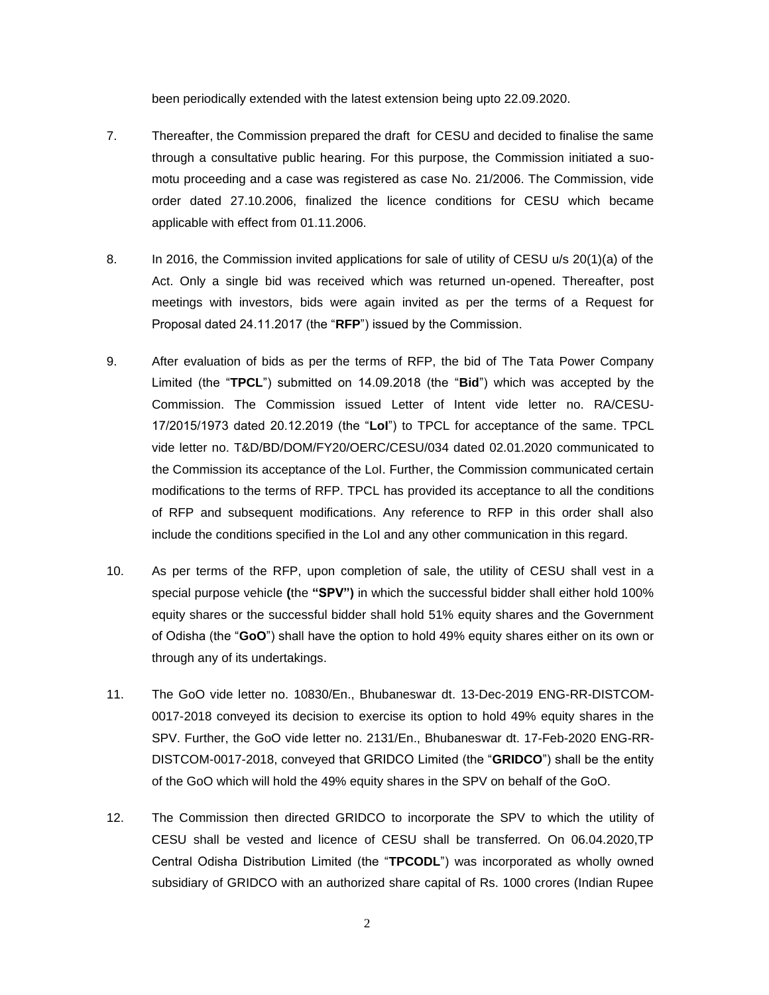been periodically extended with the latest extension being upto 22.09.2020.

- 7. Thereafter, the Commission prepared the draft for CESU and decided to finalise the same through a consultative public hearing. For this purpose, the Commission initiated a suomotu proceeding and a case was registered as case No. 21/2006. The Commission, vide order dated 27.10.2006, finalized the licence conditions for CESU which became applicable with effect from 01.11.2006.
- 8. In 2016, the Commission invited applications for sale of utility of CESU u/s 20(1)(a) of the Act. Only a single bid was received which was returned un-opened. Thereafter, post meetings with investors, bids were again invited as per the terms of a Request for Proposal dated 24.11.2017 (the "**RFP**") issued by the Commission.
- 9. After evaluation of bids as per the terms of RFP, the bid of The Tata Power Company Limited (the "**TPCL**") submitted on 14.09.2018 (the "**Bid**") which was accepted by the Commission. The Commission issued Letter of Intent vide letter no. RA/CESU-17/2015/1973 dated 20.12.2019 (the "**LoI**") to TPCL for acceptance of the same. TPCL vide letter no. T&D/BD/DOM/FY20/OERC/CESU/034 dated 02.01.2020 communicated to the Commission its acceptance of the LoI. Further, the Commission communicated certain modifications to the terms of RFP. TPCL has provided its acceptance to all the conditions of RFP and subsequent modifications. Any reference to RFP in this order shall also include the conditions specified in the LoI and any other communication in this regard.
- 10. As per terms of the RFP, upon completion of sale, the utility of CESU shall vest in a special purpose vehicle **(**the **"SPV")** in which the successful bidder shall either hold 100% equity shares or the successful bidder shall hold 51% equity shares and the Government of Odisha (the "**GoO**") shall have the option to hold 49% equity shares either on its own or through any of its undertakings.
- 11. The GoO vide letter no. 10830/En., Bhubaneswar dt. 13-Dec-2019 ENG-RR-DISTCOM-0017-2018 conveyed its decision to exercise its option to hold 49% equity shares in the SPV. Further, the GoO vide letter no. 2131/En., Bhubaneswar dt. 17-Feb-2020 ENG-RR-DISTCOM-0017-2018, conveyed that GRIDCO Limited (the "**GRIDCO**") shall be the entity of the GoO which will hold the 49% equity shares in the SPV on behalf of the GoO.
- 12. The Commission then directed GRIDCO to incorporate the SPV to which the utility of CESU shall be vested and licence of CESU shall be transferred. On 06.04.2020,TP Central Odisha Distribution Limited (the "**TPCODL**") was incorporated as wholly owned subsidiary of GRIDCO with an authorized share capital of Rs. 1000 crores (Indian Rupee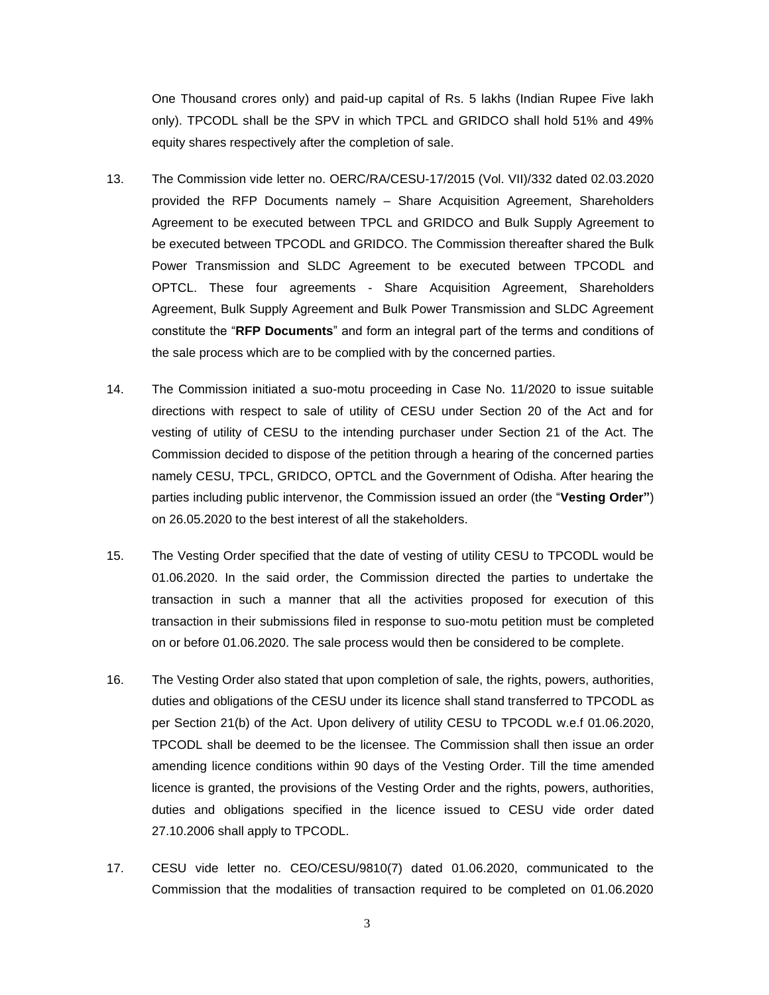One Thousand crores only) and paid-up capital of Rs. 5 lakhs (Indian Rupee Five lakh only). TPCODL shall be the SPV in which TPCL and GRIDCO shall hold 51% and 49% equity shares respectively after the completion of sale.

- 13. The Commission vide letter no. OERC/RA/CESU-17/2015 (Vol. VII)/332 dated 02.03.2020 provided the RFP Documents namely – Share Acquisition Agreement, Shareholders Agreement to be executed between TPCL and GRIDCO and Bulk Supply Agreement to be executed between TPCODL and GRIDCO. The Commission thereafter shared the Bulk Power Transmission and SLDC Agreement to be executed between TPCODL and OPTCL. These four agreements - Share Acquisition Agreement, Shareholders Agreement, Bulk Supply Agreement and Bulk Power Transmission and SLDC Agreement constitute the "**RFP Documents**" and form an integral part of the terms and conditions of the sale process which are to be complied with by the concerned parties.
- 14. The Commission initiated a suo-motu proceeding in Case No. 11/2020 to issue suitable directions with respect to sale of utility of CESU under Section 20 of the Act and for vesting of utility of CESU to the intending purchaser under Section 21 of the Act. The Commission decided to dispose of the petition through a hearing of the concerned parties namely CESU, TPCL, GRIDCO, OPTCL and the Government of Odisha. After hearing the parties including public intervenor, the Commission issued an order (the "**Vesting Order"**) on 26.05.2020 to the best interest of all the stakeholders.
- 15. The Vesting Order specified that the date of vesting of utility CESU to TPCODL would be 01.06.2020. In the said order, the Commission directed the parties to undertake the transaction in such a manner that all the activities proposed for execution of this transaction in their submissions filed in response to suo-motu petition must be completed on or before 01.06.2020. The sale process would then be considered to be complete.
- 16. The Vesting Order also stated that upon completion of sale, the rights, powers, authorities, duties and obligations of the CESU under its licence shall stand transferred to TPCODL as per Section 21(b) of the Act. Upon delivery of utility CESU to TPCODL w.e.f 01.06.2020, TPCODL shall be deemed to be the licensee. The Commission shall then issue an order amending licence conditions within 90 days of the Vesting Order. Till the time amended licence is granted, the provisions of the Vesting Order and the rights, powers, authorities, duties and obligations specified in the licence issued to CESU vide order dated 27.10.2006 shall apply to TPCODL.
- 17. CESU vide letter no. CEO/CESU/9810(7) dated 01.06.2020, communicated to the Commission that the modalities of transaction required to be completed on 01.06.2020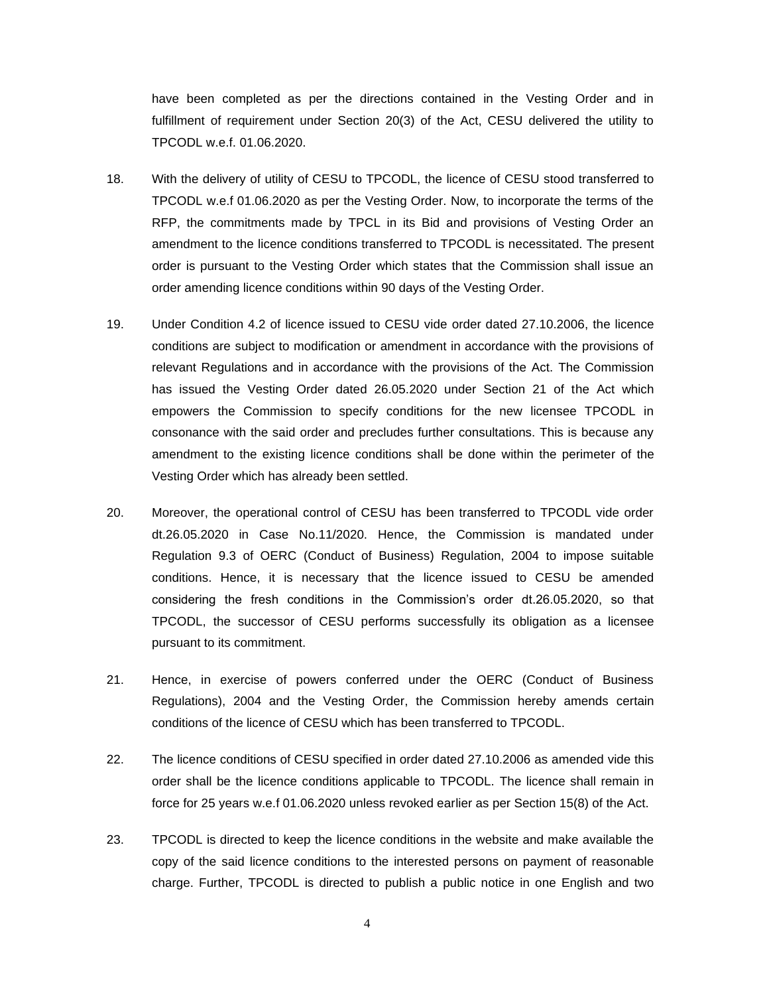have been completed as per the directions contained in the Vesting Order and in fulfillment of requirement under Section 20(3) of the Act, CESU delivered the utility to TPCODL w.e.f. 01.06.2020.

- 18. With the delivery of utility of CESU to TPCODL, the licence of CESU stood transferred to TPCODL w.e.f 01.06.2020 as per the Vesting Order. Now, to incorporate the terms of the RFP, the commitments made by TPCL in its Bid and provisions of Vesting Order an amendment to the licence conditions transferred to TPCODL is necessitated. The present order is pursuant to the Vesting Order which states that the Commission shall issue an order amending licence conditions within 90 days of the Vesting Order.
- 19. Under Condition 4.2 of licence issued to CESU vide order dated 27.10.2006, the licence conditions are subject to modification or amendment in accordance with the provisions of relevant Regulations and in accordance with the provisions of the Act. The Commission has issued the Vesting Order dated 26.05.2020 under Section 21 of the Act which empowers the Commission to specify conditions for the new licensee TPCODL in consonance with the said order and precludes further consultations. This is because any amendment to the existing licence conditions shall be done within the perimeter of the Vesting Order which has already been settled.
- 20. Moreover, the operational control of CESU has been transferred to TPCODL vide order dt.26.05.2020 in Case No.11/2020. Hence, the Commission is mandated under Regulation 9.3 of OERC (Conduct of Business) Regulation, 2004 to impose suitable conditions. Hence, it is necessary that the licence issued to CESU be amended considering the fresh conditions in the Commission's order dt.26.05.2020, so that TPCODL, the successor of CESU performs successfully its obligation as a licensee pursuant to its commitment.
- 21. Hence, in exercise of powers conferred under the OERC (Conduct of Business Regulations), 2004 and the Vesting Order, the Commission hereby amends certain conditions of the licence of CESU which has been transferred to TPCODL.
- 22. The licence conditions of CESU specified in order dated 27.10.2006 as amended vide this order shall be the licence conditions applicable to TPCODL. The licence shall remain in force for 25 years w.e.f 01.06.2020 unless revoked earlier as per Section 15(8) of the Act.
- 23. TPCODL is directed to keep the licence conditions in the website and make available the copy of the said licence conditions to the interested persons on payment of reasonable charge. Further, TPCODL is directed to publish a public notice in one English and two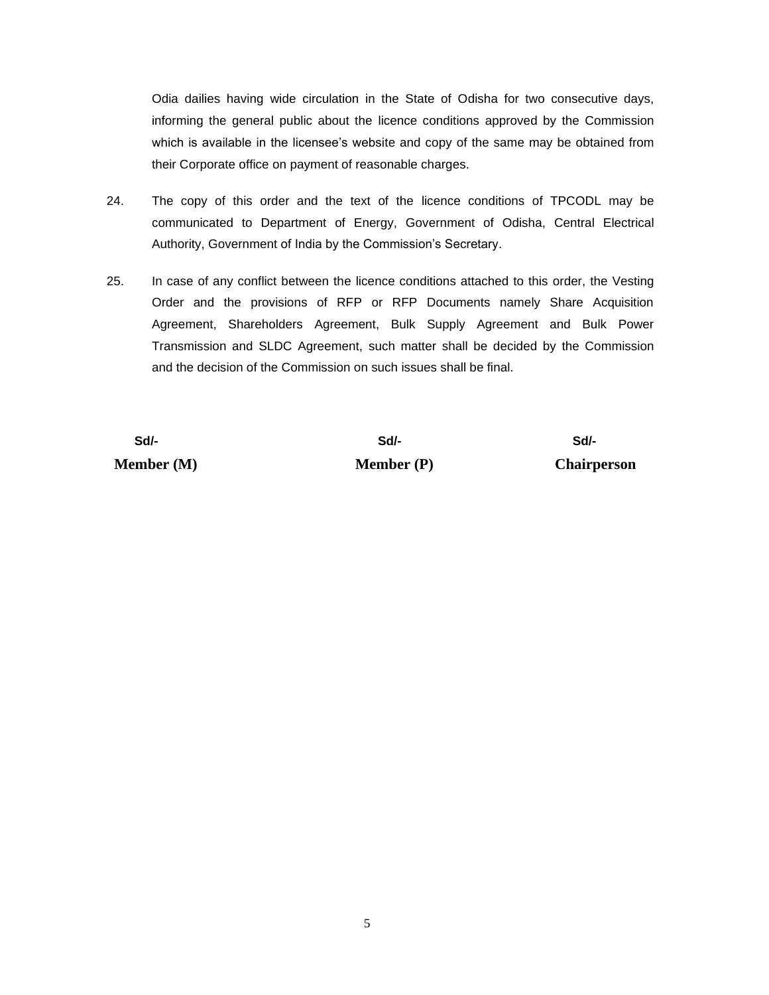Odia dailies having wide circulation in the State of Odisha for two consecutive days, informing the general public about the licence conditions approved by the Commission which is available in the licensee's website and copy of the same may be obtained from their Corporate office on payment of reasonable charges.

- 24. The copy of this order and the text of the licence conditions of TPCODL may be communicated to Department of Energy, Government of Odisha, Central Electrical Authority, Government of India by the Commission's Secretary.
- 25. In case of any conflict between the licence conditions attached to this order, the Vesting Order and the provisions of RFP or RFP Documents namely Share Acquisition Agreement, Shareholders Agreement, Bulk Supply Agreement and Bulk Power Transmission and SLDC Agreement, such matter shall be decided by the Commission and the decision of the Commission on such issues shall be final.

 **Sd/- Sd/- Sd/- Member (M) Member (P) Chairperson**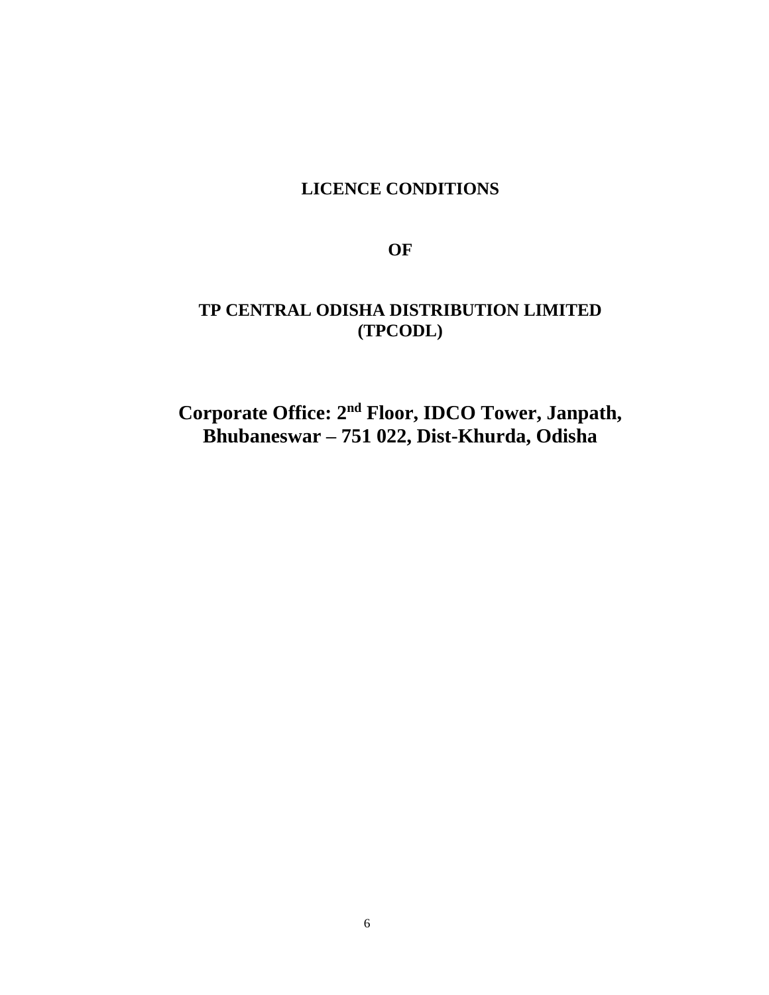# **LICENCE CONDITIONS**

**OF**

# **TP CENTRAL ODISHA DISTRIBUTION LIMITED (TPCODL)**

**Corporate Office: 2nd Floor, IDCO Tower, Janpath, Bhubaneswar – 751 022, Dist-Khurda, Odisha**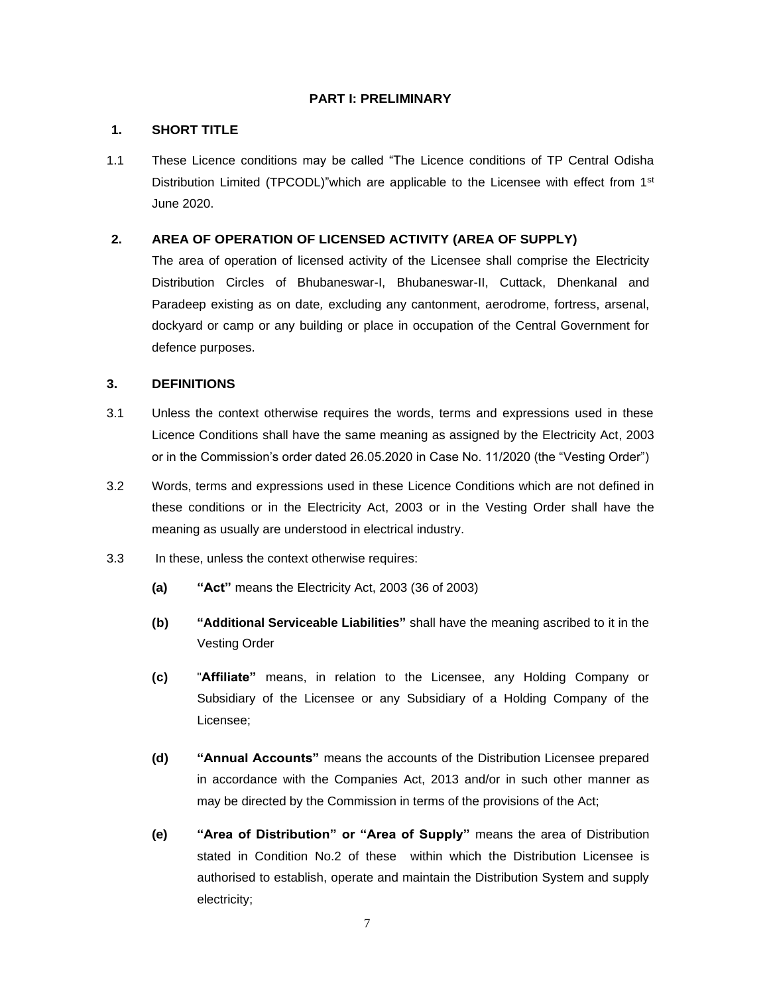#### **PART I: PRELIMINARY**

#### **1. SHORT TITLE**

1.1 These Licence conditions may be called "The Licence conditions of TP Central Odisha Distribution Limited (TPCODL)"which are applicable to the Licensee with effect from 1<sup>st</sup> June 2020.

#### **2. AREA OF OPERATION OF LICENSED ACTIVITY (AREA OF SUPPLY)**

The area of operation of licensed activity of the Licensee shall comprise the Electricity Distribution Circles of Bhubaneswar-I, Bhubaneswar-II, Cuttack, Dhenkanal and Paradeep existing as on date*,* excluding any cantonment, aerodrome, fortress, arsenal, dockyard or camp or any building or place in occupation of the Central Government for defence purposes.

### **3. DEFINITIONS**

- 3.1 Unless the context otherwise requires the words, terms and expressions used in these Licence Conditions shall have the same meaning as assigned by the Electricity Act, 2003 or in the Commission's order dated 26.05.2020 in Case No. 11/2020 (the "Vesting Order")
- 3.2 Words, terms and expressions used in these Licence Conditions which are not defined in these conditions or in the Electricity Act, 2003 or in the Vesting Order shall have the meaning as usually are understood in electrical industry.
- 3.3 In these, unless the context otherwise requires:
	- **(a) "Act"** means the Electricity Act, 2003 (36 of 2003)
	- **(b) "Additional Serviceable Liabilities"** shall have the meaning ascribed to it in the Vesting Order
	- **(c)** "**Affiliate"** means, in relation to the Licensee, any Holding Company or Subsidiary of the Licensee or any Subsidiary of a Holding Company of the Licensee;
	- **(d) "Annual Accounts"** means the accounts of the Distribution Licensee prepared in accordance with the Companies Act, 2013 and/or in such other manner as may be directed by the Commission in terms of the provisions of the Act;
	- **(e) "Area of Distribution" or "Area of Supply"** means the area of Distribution stated in Condition No.2 of these within which the Distribution Licensee is authorised to establish, operate and maintain the Distribution System and supply electricity;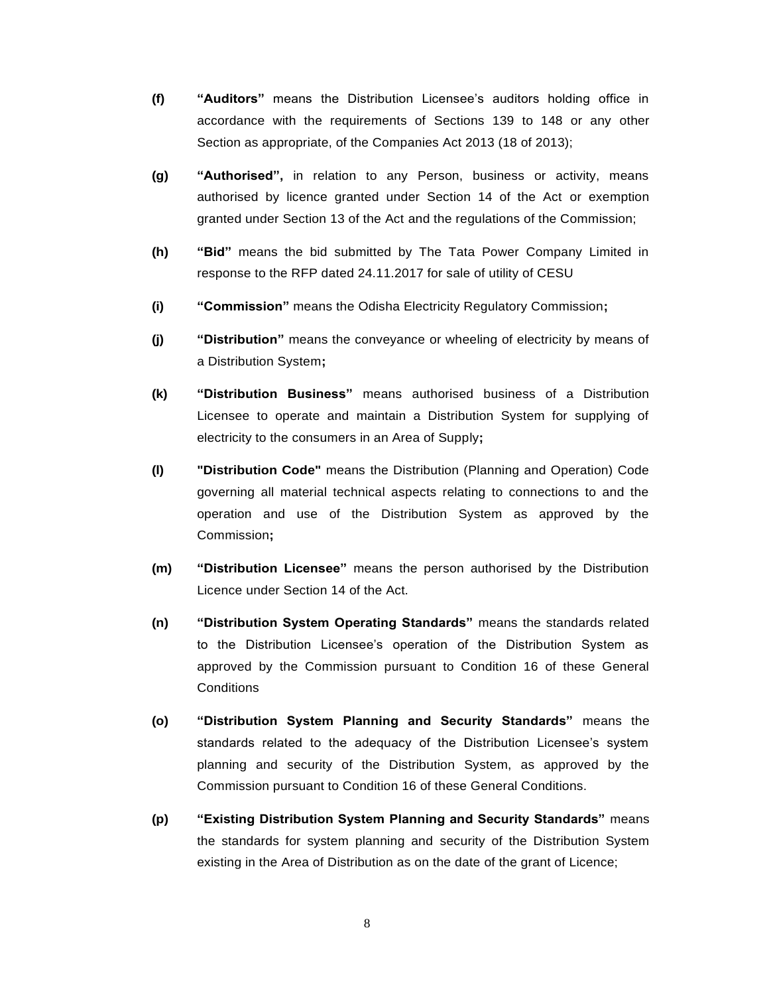- **(f) "Auditors"** means the Distribution Licensee's auditors holding office in accordance with the requirements of Sections 139 to 148 or any other Section as appropriate, of the Companies Act 2013 (18 of 2013);
- **(g) "Authorised",** in relation to any Person, business or activity, means authorised by licence granted under Section 14 of the Act or exemption granted under Section 13 of the Act and the regulations of the Commission;
- **(h) "Bid"** means the bid submitted by The Tata Power Company Limited in response to the RFP dated 24.11.2017 for sale of utility of CESU
- **(i) "Commission"** means the Odisha Electricity Regulatory Commission**;**
- **(j) "Distribution"** means the conveyance or wheeling of electricity by means of a Distribution System**;**
- **(k) "Distribution Business"** means authorised business of a Distribution Licensee to operate and maintain a Distribution System for supplying of electricity to the consumers in an Area of Supply**;**
- **(l) "Distribution Code"** means the Distribution (Planning and Operation) Code governing all material technical aspects relating to connections to and the operation and use of the Distribution System as approved by the Commission**;**
- **(m) "Distribution Licensee"** means the person authorised by the Distribution Licence under Section 14 of the Act.
- **(n) "Distribution System Operating Standards"** means the standards related to the Distribution Licensee's operation of the Distribution System as approved by the Commission pursuant to Condition 16 of these General **Conditions**
- **(o) "Distribution System Planning and Security Standards"** means the standards related to the adequacy of the Distribution Licensee's system planning and security of the Distribution System, as approved by the Commission pursuant to Condition 16 of these General Conditions.
- **(p) "Existing Distribution System Planning and Security Standards"** means the standards for system planning and security of the Distribution System existing in the Area of Distribution as on the date of the grant of Licence;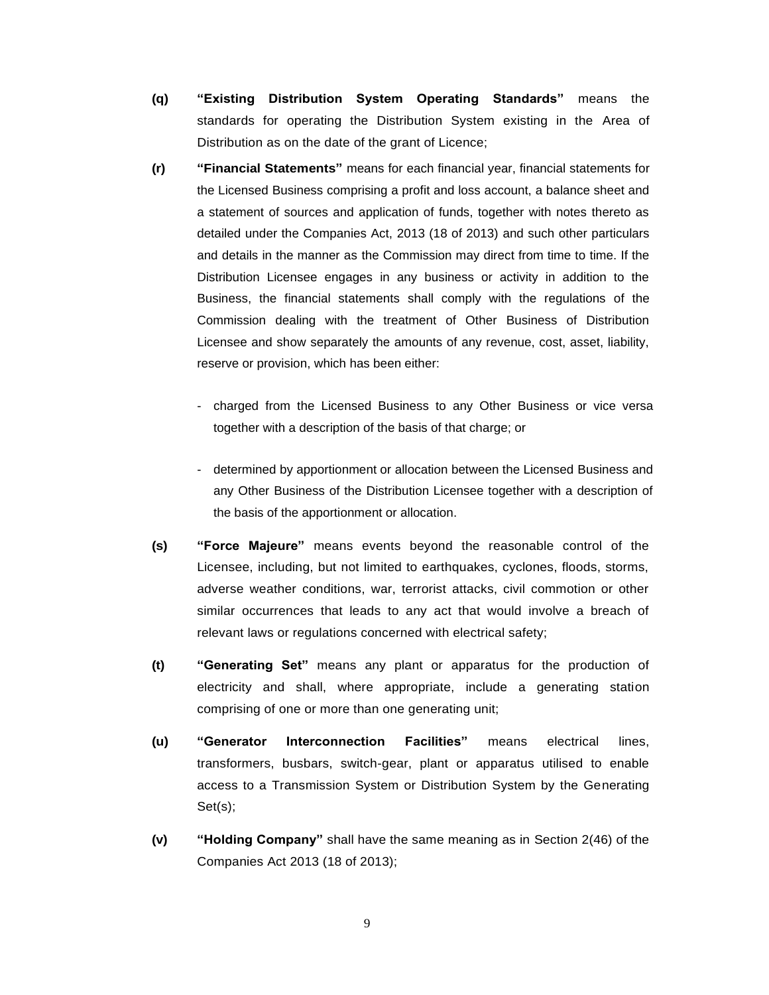- **(q) "Existing Distribution System Operating Standards"** means the standards for operating the Distribution System existing in the Area of Distribution as on the date of the grant of Licence;
- **(r) "Financial Statements"** means for each financial year, financial statements for the Licensed Business comprising a profit and loss account, a balance sheet and a statement of sources and application of funds, together with notes thereto as detailed under the Companies Act, 2013 (18 of 2013) and such other particulars and details in the manner as the Commission may direct from time to time. If the Distribution Licensee engages in any business or activity in addition to the Business, the financial statements shall comply with the regulations of the Commission dealing with the treatment of Other Business of Distribution Licensee and show separately the amounts of any revenue, cost, asset, liability, reserve or provision, which has been either:
	- charged from the Licensed Business to any Other Business or vice versa together with a description of the basis of that charge; or
	- determined by apportionment or allocation between the Licensed Business and any Other Business of the Distribution Licensee together with a description of the basis of the apportionment or allocation.
- **(s) "Force Majeure"** means events beyond the reasonable control of the Licensee, including, but not limited to earthquakes, cyclones, floods, storms, adverse weather conditions, war, terrorist attacks, civil commotion or other similar occurrences that leads to any act that would involve a breach of relevant laws or regulations concerned with electrical safety;
- **(t) "Generating Set"** means any plant or apparatus for the production of electricity and shall, where appropriate, include a generating station comprising of one or more than one generating unit;
- **(u) "Generator Interconnection Facilities"** means electrical lines, transformers, busbars, switch-gear, plant or apparatus utilised to enable access to a Transmission System or Distribution System by the Generating Set(s);
- **(v) "Holding Company"** shall have the same meaning as in Section 2(46) of the Companies Act 2013 (18 of 2013);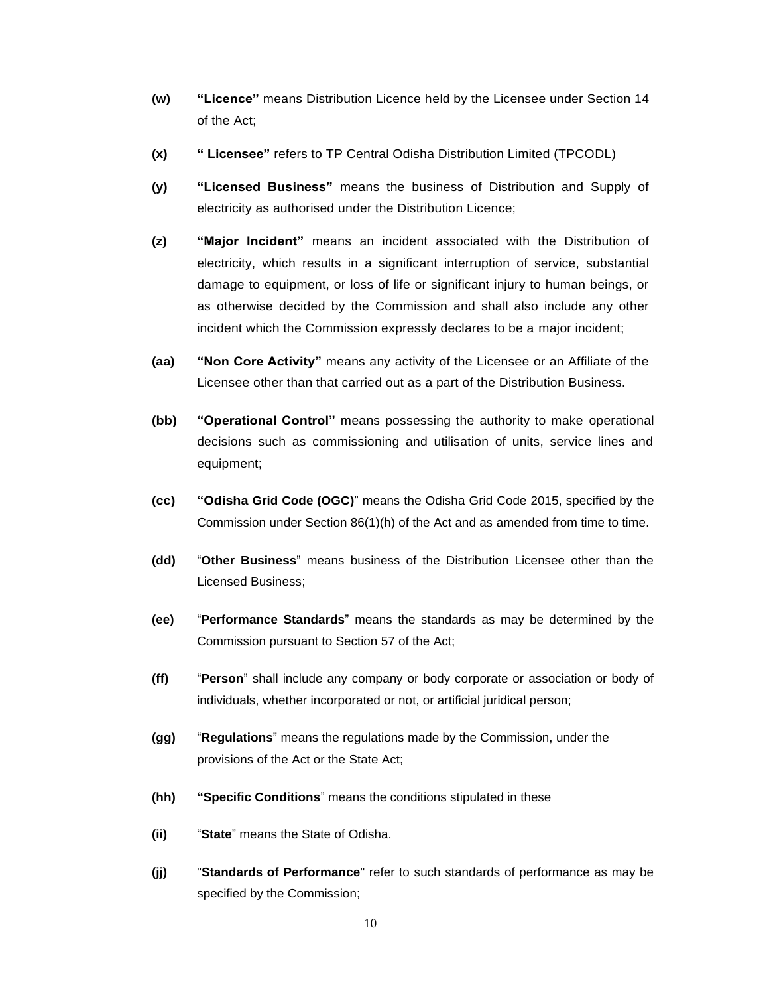- **(w) "Licence"** means Distribution Licence held by the Licensee under Section 14 of the Act;
- **(x) " Licensee"** refers to TP Central Odisha Distribution Limited (TPCODL)
- **(y) "Licensed Business"** means the business of Distribution and Supply of electricity as authorised under the Distribution Licence;
- **(z) "Major Incident"** means an incident associated with the Distribution of electricity, which results in a significant interruption of service, substantial damage to equipment, or loss of life or significant injury to human beings, or as otherwise decided by the Commission and shall also include any other incident which the Commission expressly declares to be a major incident;
- **(aa) "Non Core Activity"** means any activity of the Licensee or an Affiliate of the Licensee other than that carried out as a part of the Distribution Business.
- **(bb) "Operational Control"** means possessing the authority to make operational decisions such as commissioning and utilisation of units, service lines and equipment;
- **(cc) "Odisha Grid Code (OGC)**" means the Odisha Grid Code 2015, specified by the Commission under Section 86(1)(h) of the Act and as amended from time to time.
- **(dd)** "**Other Business**" means business of the Distribution Licensee other than the Licensed Business;
- **(ee)** "**Performance Standards**" means the standards as may be determined by the Commission pursuant to Section 57 of the Act;
- **(ff)** "**Person**" shall include any company or body corporate or association or body of individuals, whether incorporated or not, or artificial juridical person;
- **(gg)** "**Regulations**" means the regulations made by the Commission, under the provisions of the Act or the State Act;
- **(hh) "Specific Conditions**" means the conditions stipulated in these
- **(ii)** "**State**" means the State of Odisha.
- **(jj)** "**Standards of Performance**" refer to such standards of performance as may be specified by the Commission;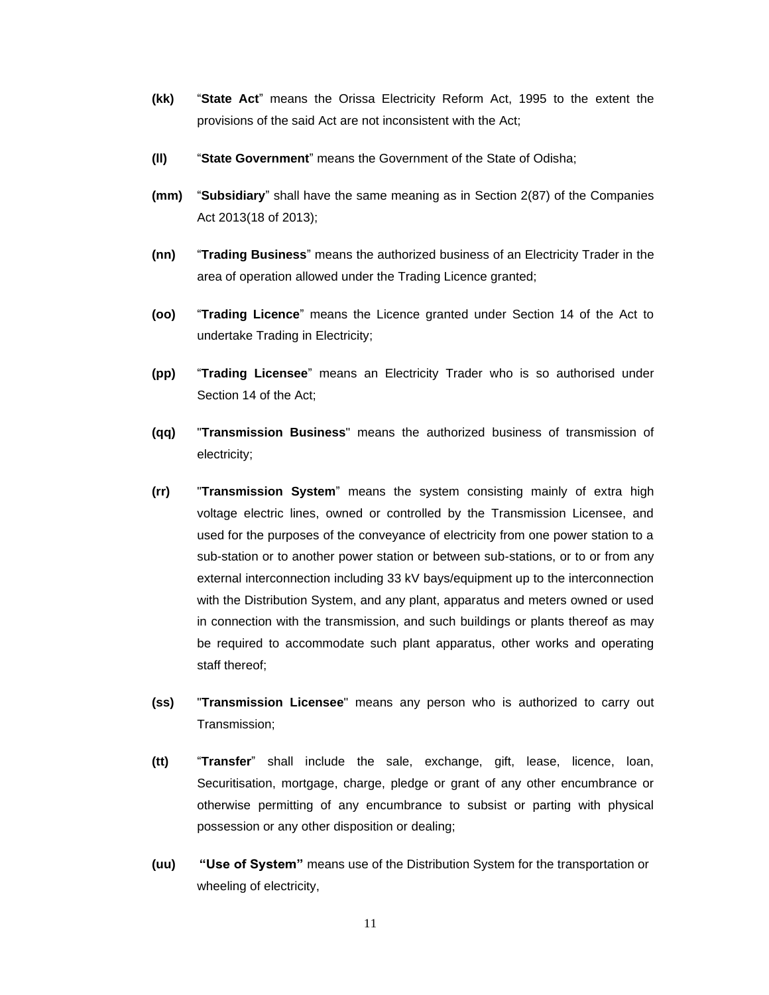- **(kk)** "**State Act**" means the Orissa Electricity Reform Act, 1995 to the extent the provisions of the said Act are not inconsistent with the Act;
- **(ll)** "**State Government**" means the Government of the State of Odisha;
- **(mm)** "**Subsidiary**" shall have the same meaning as in Section 2(87) of the Companies Act 2013(18 of 2013);
- **(nn)** "**Trading Business**" means the authorized business of an Electricity Trader in the area of operation allowed under the Trading Licence granted;
- **(oo)** "**Trading Licence**" means the Licence granted under Section 14 of the Act to undertake Trading in Electricity;
- **(pp)** "**Trading Licensee**" means an Electricity Trader who is so authorised under Section 14 of the Act;
- **(qq)** "**Transmission Business**" means the authorized business of transmission of electricity;
- **(rr)** "**Transmission System**" means the system consisting mainly of extra high voltage electric lines, owned or controlled by the Transmission Licensee, and used for the purposes of the conveyance of electricity from one power station to a sub-station or to another power station or between sub-stations, or to or from any external interconnection including 33 kV bays/equipment up to the interconnection with the Distribution System, and any plant, apparatus and meters owned or used in connection with the transmission, and such buildings or plants thereof as may be required to accommodate such plant apparatus, other works and operating staff thereof;
- **(ss)** "**Transmission Licensee**" means any person who is authorized to carry out Transmission;
- **(tt)** "**Transfer**" shall include the sale, exchange, gift, lease, licence, loan, Securitisation, mortgage, charge, pledge or grant of any other encumbrance or otherwise permitting of any encumbrance to subsist or parting with physical possession or any other disposition or dealing;
- **(uu) "Use of System"** means use of the Distribution System for the transportation or wheeling of electricity,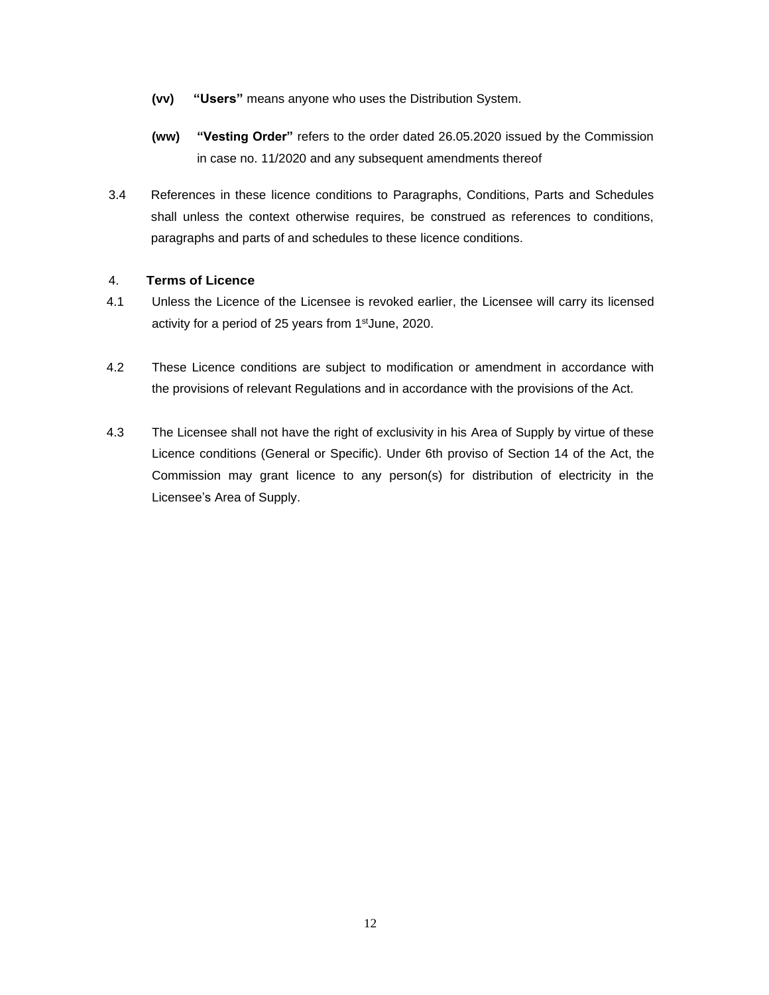- **(vv) "Users"** means anyone who uses the Distribution System.
- **(ww) "Vesting Order"** refers to the order dated 26.05.2020 issued by the Commission in case no. 11/2020 and any subsequent amendments thereof
- 3.4 References in these licence conditions to Paragraphs, Conditions, Parts and Schedules shall unless the context otherwise requires, be construed as references to conditions, paragraphs and parts of and schedules to these licence conditions.

## 4. **Terms of Licence**

- 4.1 Unless the Licence of the Licensee is revoked earlier, the Licensee will carry its licensed activity for a period of 25 years from 1stJune, 2020.
- 4.2 These Licence conditions are subject to modification or amendment in accordance with the provisions of relevant Regulations and in accordance with the provisions of the Act.
- 4.3 The Licensee shall not have the right of exclusivity in his Area of Supply by virtue of these Licence conditions (General or Specific). Under 6th proviso of Section 14 of the Act, the Commission may grant licence to any person(s) for distribution of electricity in the Licensee's Area of Supply.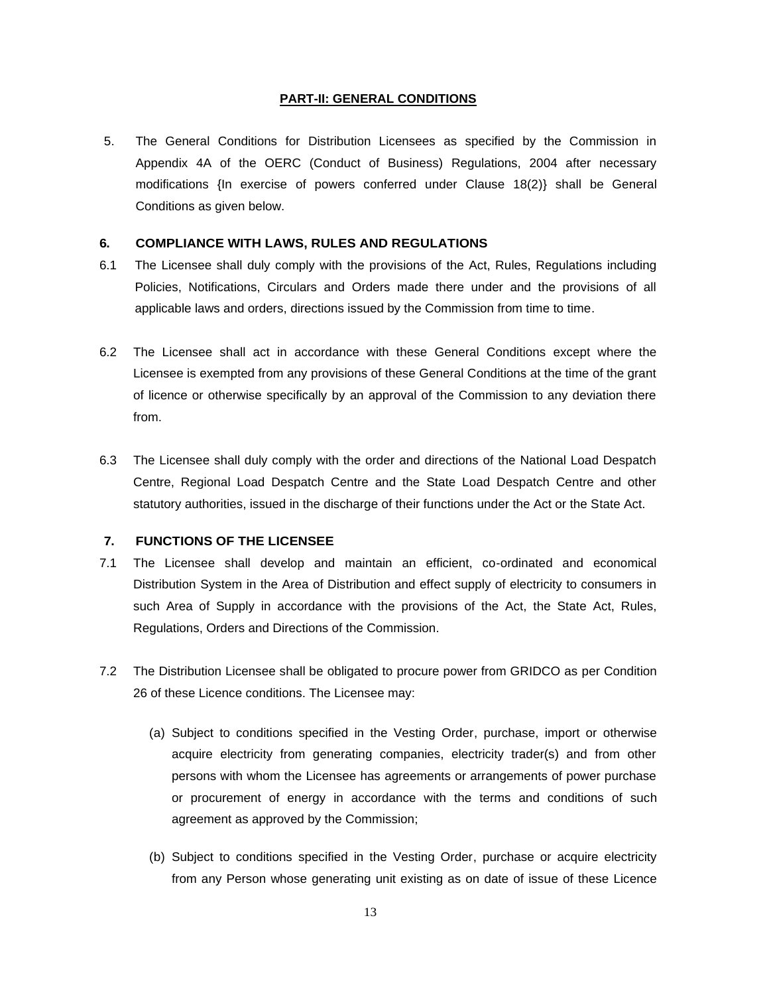#### **PART-II: GENERAL CONDITIONS**

5. The General Conditions for Distribution Licensees as specified by the Commission in Appendix 4A of the OERC (Conduct of Business) Regulations, 2004 after necessary modifications {In exercise of powers conferred under Clause 18(2)} shall be General Conditions as given below.

#### **6. COMPLIANCE WITH LAWS, RULES AND REGULATIONS**

- 6.1 The Licensee shall duly comply with the provisions of the Act, Rules, Regulations including Policies, Notifications, Circulars and Orders made there under and the provisions of all applicable laws and orders, directions issued by the Commission from time to time.
- 6.2 The Licensee shall act in accordance with these General Conditions except where the Licensee is exempted from any provisions of these General Conditions at the time of the grant of licence or otherwise specifically by an approval of the Commission to any deviation there from.
- 6.3 The Licensee shall duly comply with the order and directions of the National Load Despatch Centre, Regional Load Despatch Centre and the State Load Despatch Centre and other statutory authorities, issued in the discharge of their functions under the Act or the State Act.

#### **7. FUNCTIONS OF THE LICENSEE**

- 7.1 The Licensee shall develop and maintain an efficient, co-ordinated and economical Distribution System in the Area of Distribution and effect supply of electricity to consumers in such Area of Supply in accordance with the provisions of the Act, the State Act, Rules, Regulations, Orders and Directions of the Commission.
- 7.2 The Distribution Licensee shall be obligated to procure power from GRIDCO as per Condition 26 of these Licence conditions. The Licensee may:
	- (a) Subject to conditions specified in the Vesting Order, purchase, import or otherwise acquire electricity from generating companies, electricity trader(s) and from other persons with whom the Licensee has agreements or arrangements of power purchase or procurement of energy in accordance with the terms and conditions of such agreement as approved by the Commission;
	- (b) Subject to conditions specified in the Vesting Order, purchase or acquire electricity from any Person whose generating unit existing as on date of issue of these Licence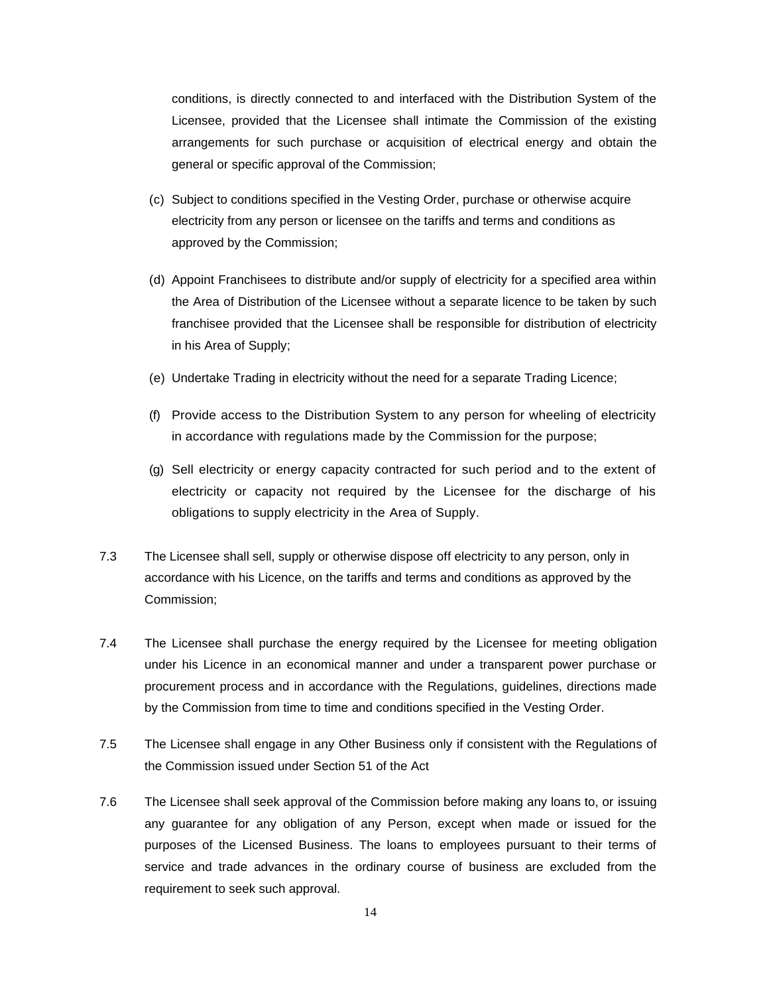conditions, is directly connected to and interfaced with the Distribution System of the Licensee, provided that the Licensee shall intimate the Commission of the existing arrangements for such purchase or acquisition of electrical energy and obtain the general or specific approval of the Commission;

- (c) Subject to conditions specified in the Vesting Order, purchase or otherwise acquire electricity from any person or licensee on the tariffs and terms and conditions as approved by the Commission;
- (d) Appoint Franchisees to distribute and/or supply of electricity for a specified area within the Area of Distribution of the Licensee without a separate licence to be taken by such franchisee provided that the Licensee shall be responsible for distribution of electricity in his Area of Supply;
- (e) Undertake Trading in electricity without the need for a separate Trading Licence;
- (f) Provide access to the Distribution System to any person for wheeling of electricity in accordance with regulations made by the Commission for the purpose;
- (g) Sell electricity or energy capacity contracted for such period and to the extent of electricity or capacity not required by the Licensee for the discharge of his obligations to supply electricity in the Area of Supply.
- 7.3 The Licensee shall sell, supply or otherwise dispose off electricity to any person, only in accordance with his Licence, on the tariffs and terms and conditions as approved by the Commission;
- 7.4 The Licensee shall purchase the energy required by the Licensee for meeting obligation under his Licence in an economical manner and under a transparent power purchase or procurement process and in accordance with the Regulations, guidelines, directions made by the Commission from time to time and conditions specified in the Vesting Order.
- 7.5 The Licensee shall engage in any Other Business only if consistent with the Regulations of the Commission issued under Section 51 of the Act
- 7.6 The Licensee shall seek approval of the Commission before making any loans to, or issuing any guarantee for any obligation of any Person, except when made or issued for the purposes of the Licensed Business. The loans to employees pursuant to their terms of service and trade advances in the ordinary course of business are excluded from the requirement to seek such approval.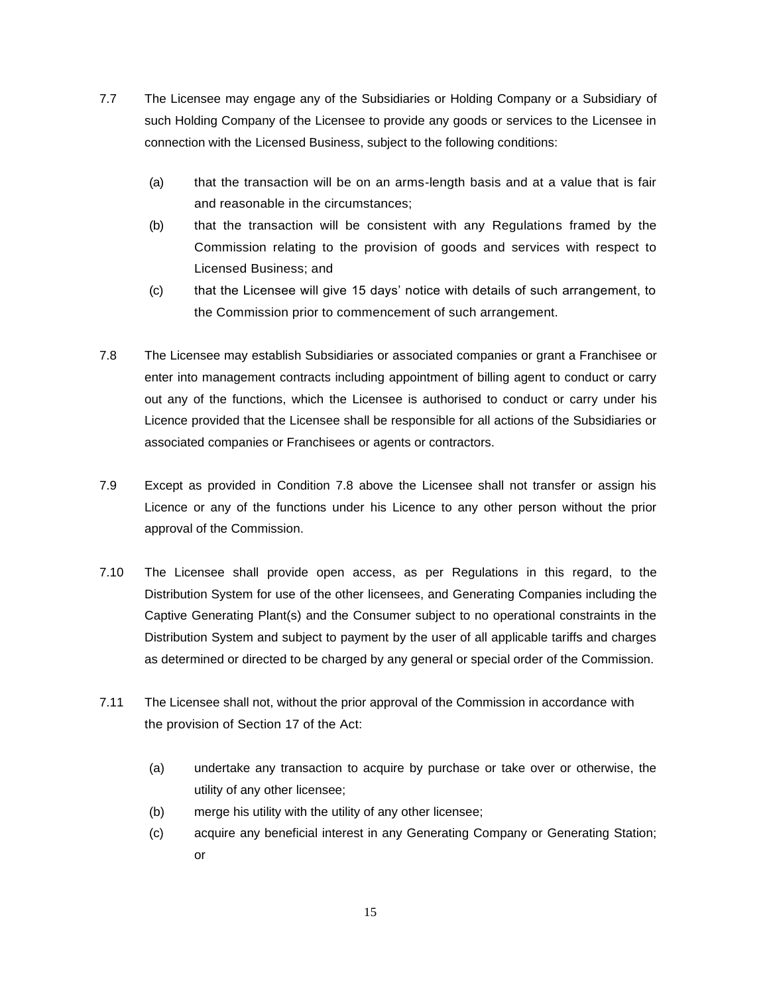- 7.7 The Licensee may engage any of the Subsidiaries or Holding Company or a Subsidiary of such Holding Company of the Licensee to provide any goods or services to the Licensee in connection with the Licensed Business, subject to the following conditions:
	- (a) that the transaction will be on an arms-length basis and at a value that is fair and reasonable in the circumstances;
	- (b) that the transaction will be consistent with any Regulations framed by the Commission relating to the provision of goods and services with respect to Licensed Business; and
	- (c) that the Licensee will give 15 days' notice with details of such arrangement, to the Commission prior to commencement of such arrangement.
- 7.8 The Licensee may establish Subsidiaries or associated companies or grant a Franchisee or enter into management contracts including appointment of billing agent to conduct or carry out any of the functions, which the Licensee is authorised to conduct or carry under his Licence provided that the Licensee shall be responsible for all actions of the Subsidiaries or associated companies or Franchisees or agents or contractors.
- 7.9 Except as provided in Condition 7.8 above the Licensee shall not transfer or assign his Licence or any of the functions under his Licence to any other person without the prior approval of the Commission.
- 7.10 The Licensee shall provide open access, as per Regulations in this regard, to the Distribution System for use of the other licensees, and Generating Companies including the Captive Generating Plant(s) and the Consumer subject to no operational constraints in the Distribution System and subject to payment by the user of all applicable tariffs and charges as determined or directed to be charged by any general or special order of the Commission.
- 7.11 The Licensee shall not, without the prior approval of the Commission in accordance with the provision of Section 17 of the Act:
	- (a) undertake any transaction to acquire by purchase or take over or otherwise, the utility of any other licensee;
	- (b) merge his utility with the utility of any other licensee;
	- (c) acquire any beneficial interest in any Generating Company or Generating Station; or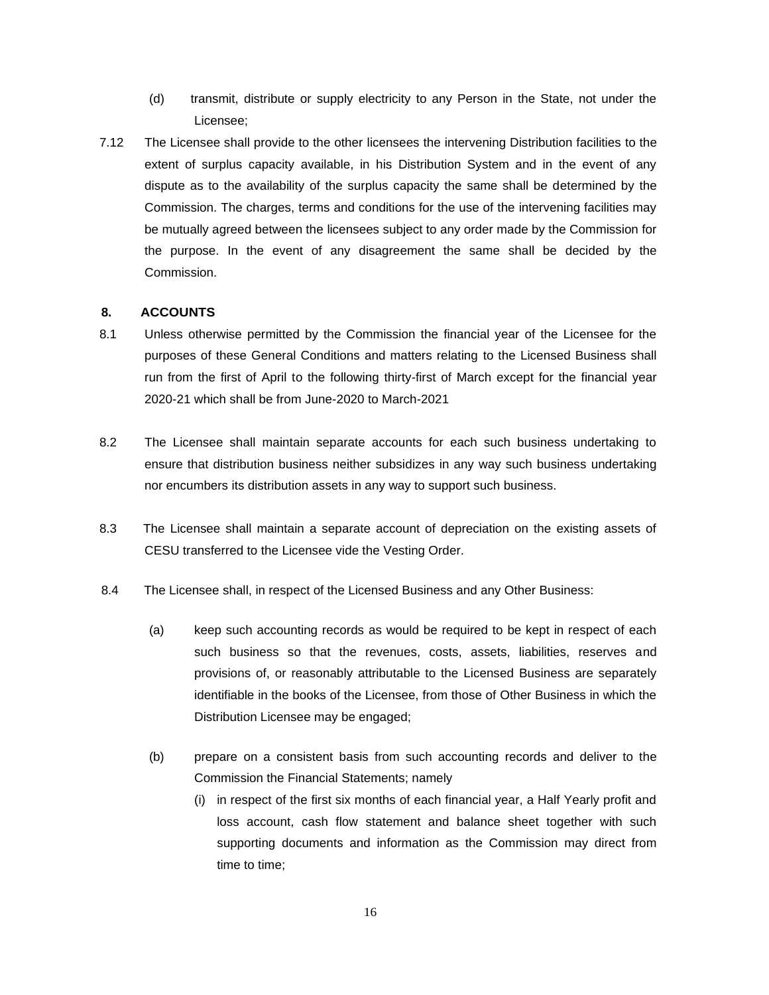- (d) transmit, distribute or supply electricity to any Person in the State, not under the Licensee;
- 7.12 The Licensee shall provide to the other licensees the intervening Distribution facilities to the extent of surplus capacity available, in his Distribution System and in the event of any dispute as to the availability of the surplus capacity the same shall be determined by the Commission. The charges, terms and conditions for the use of the intervening facilities may be mutually agreed between the licensees subject to any order made by the Commission for the purpose. In the event of any disagreement the same shall be decided by the Commission.

## **8. ACCOUNTS**

- 8.1 Unless otherwise permitted by the Commission the financial year of the Licensee for the purposes of these General Conditions and matters relating to the Licensed Business shall run from the first of April to the following thirty-first of March except for the financial year 2020-21 which shall be from June-2020 to March-2021
- 8.2 The Licensee shall maintain separate accounts for each such business undertaking to ensure that distribution business neither subsidizes in any way such business undertaking nor encumbers its distribution assets in any way to support such business.
- 8.3 The Licensee shall maintain a separate account of depreciation on the existing assets of CESU transferred to the Licensee vide the Vesting Order.
- 8.4 The Licensee shall, in respect of the Licensed Business and any Other Business:
	- (a) keep such accounting records as would be required to be kept in respect of each such business so that the revenues, costs, assets, liabilities, reserves and provisions of, or reasonably attributable to the Licensed Business are separately identifiable in the books of the Licensee, from those of Other Business in which the Distribution Licensee may be engaged;
	- (b) prepare on a consistent basis from such accounting records and deliver to the Commission the Financial Statements; namely
		- (i) in respect of the first six months of each financial year, a Half Yearly profit and loss account, cash flow statement and balance sheet together with such supporting documents and information as the Commission may direct from time to time;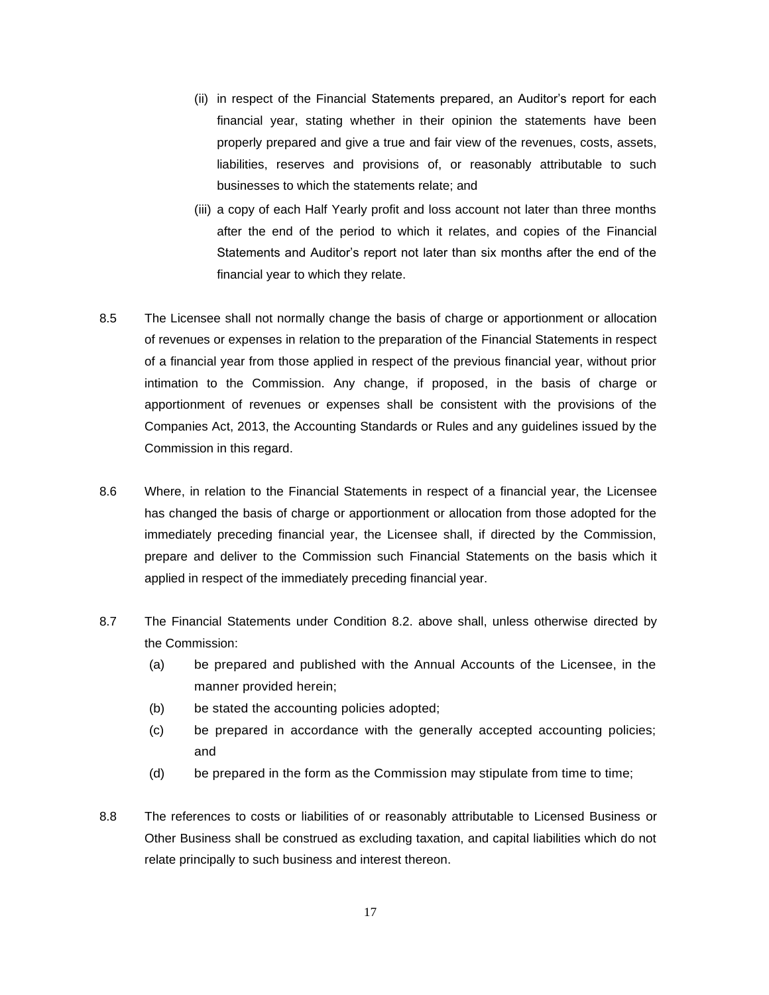- (ii) in respect of the Financial Statements prepared, an Auditor's report for each financial year, stating whether in their opinion the statements have been properly prepared and give a true and fair view of the revenues, costs, assets, liabilities, reserves and provisions of, or reasonably attributable to such businesses to which the statements relate; and
- (iii) a copy of each Half Yearly profit and loss account not later than three months after the end of the period to which it relates, and copies of the Financial Statements and Auditor's report not later than six months after the end of the financial year to which they relate.
- 8.5 The Licensee shall not normally change the basis of charge or apportionment or allocation of revenues or expenses in relation to the preparation of the Financial Statements in respect of a financial year from those applied in respect of the previous financial year, without prior intimation to the Commission. Any change, if proposed, in the basis of charge or apportionment of revenues or expenses shall be consistent with the provisions of the Companies Act, 2013, the Accounting Standards or Rules and any guidelines issued by the Commission in this regard.
- 8.6 Where, in relation to the Financial Statements in respect of a financial year, the Licensee has changed the basis of charge or apportionment or allocation from those adopted for the immediately preceding financial year, the Licensee shall, if directed by the Commission, prepare and deliver to the Commission such Financial Statements on the basis which it applied in respect of the immediately preceding financial year.
- 8.7 The Financial Statements under Condition 8.2. above shall, unless otherwise directed by the Commission:
	- (a) be prepared and published with the Annual Accounts of the Licensee, in the manner provided herein;
	- (b) be stated the accounting policies adopted;
	- (c) be prepared in accordance with the generally accepted accounting policies; and
	- (d) be prepared in the form as the Commission may stipulate from time to time;
- 8.8 The references to costs or liabilities of or reasonably attributable to Licensed Business or Other Business shall be construed as excluding taxation, and capital liabilities which do not relate principally to such business and interest thereon.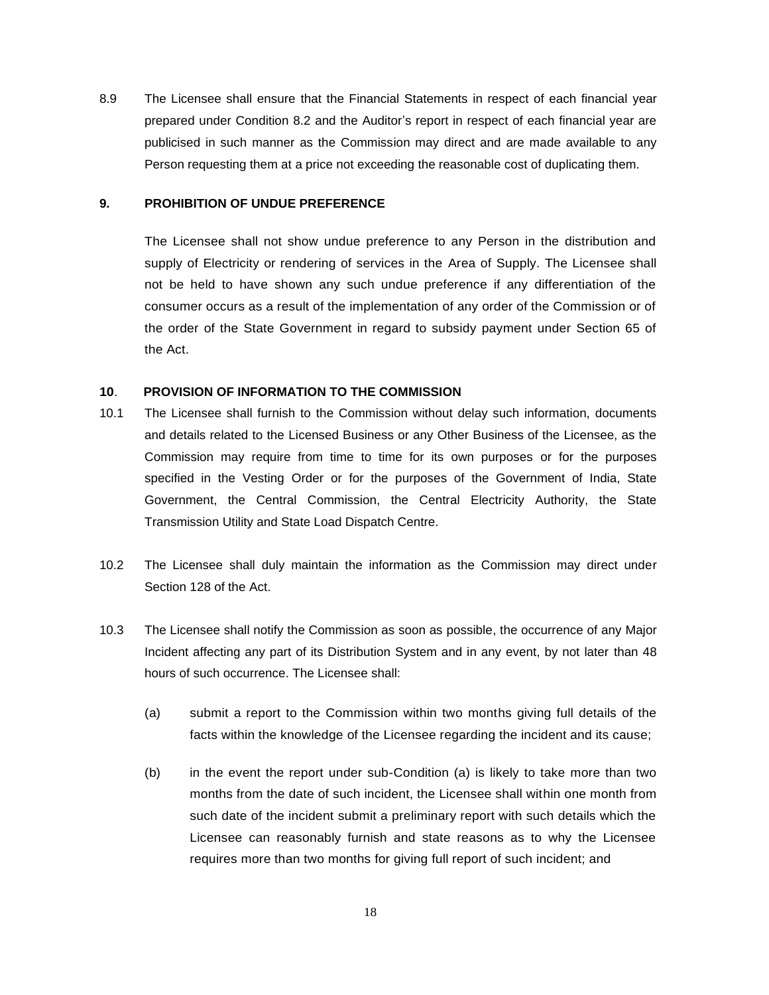8.9 The Licensee shall ensure that the Financial Statements in respect of each financial year prepared under Condition 8.2 and the Auditor's report in respect of each financial year are publicised in such manner as the Commission may direct and are made available to any Person requesting them at a price not exceeding the reasonable cost of duplicating them.

### **9. PROHIBITION OF UNDUE PREFERENCE**

The Licensee shall not show undue preference to any Person in the distribution and supply of Electricity or rendering of services in the Area of Supply. The Licensee shall not be held to have shown any such undue preference if any differentiation of the consumer occurs as a result of the implementation of any order of the Commission or of the order of the State Government in regard to subsidy payment under Section 65 of the Act.

#### **10**. **PROVISION OF INFORMATION TO THE COMMISSION**

- 10.1 The Licensee shall furnish to the Commission without delay such information, documents and details related to the Licensed Business or any Other Business of the Licensee, as the Commission may require from time to time for its own purposes or for the purposes specified in the Vesting Order or for the purposes of the Government of India, State Government, the Central Commission, the Central Electricity Authority, the State Transmission Utility and State Load Dispatch Centre.
- 10.2 The Licensee shall duly maintain the information as the Commission may direct under Section 128 of the Act.
- 10.3 The Licensee shall notify the Commission as soon as possible, the occurrence of any Major Incident affecting any part of its Distribution System and in any event, by not later than 48 hours of such occurrence. The Licensee shall:
	- (a) submit a report to the Commission within two months giving full details of the facts within the knowledge of the Licensee regarding the incident and its cause;
	- (b) in the event the report under sub-Condition (a) is likely to take more than two months from the date of such incident, the Licensee shall within one month from such date of the incident submit a preliminary report with such details which the Licensee can reasonably furnish and state reasons as to why the Licensee requires more than two months for giving full report of such incident; and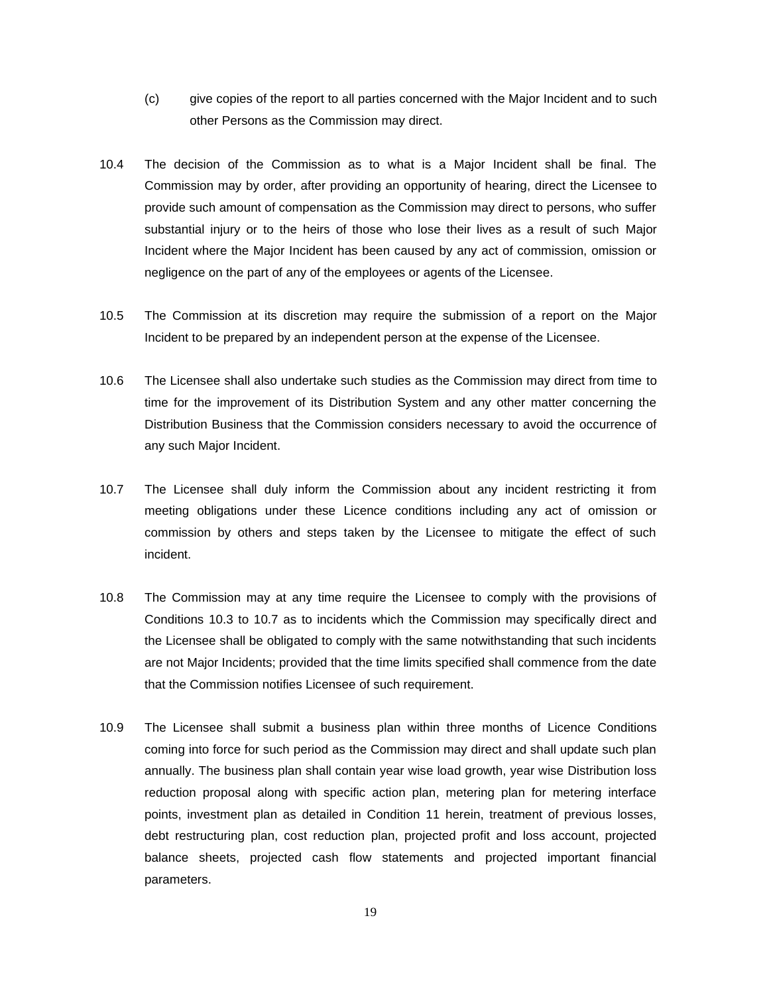- (c) give copies of the report to all parties concerned with the Major Incident and to such other Persons as the Commission may direct.
- 10.4 The decision of the Commission as to what is a Major Incident shall be final. The Commission may by order, after providing an opportunity of hearing, direct the Licensee to provide such amount of compensation as the Commission may direct to persons, who suffer substantial injury or to the heirs of those who lose their lives as a result of such Major Incident where the Major Incident has been caused by any act of commission, omission or negligence on the part of any of the employees or agents of the Licensee.
- 10.5 The Commission at its discretion may require the submission of a report on the Major Incident to be prepared by an independent person at the expense of the Licensee.
- 10.6 The Licensee shall also undertake such studies as the Commission may direct from time to time for the improvement of its Distribution System and any other matter concerning the Distribution Business that the Commission considers necessary to avoid the occurrence of any such Major Incident.
- 10.7 The Licensee shall duly inform the Commission about any incident restricting it from meeting obligations under these Licence conditions including any act of omission or commission by others and steps taken by the Licensee to mitigate the effect of such incident.
- 10.8 The Commission may at any time require the Licensee to comply with the provisions of Conditions 10.3 to 10.7 as to incidents which the Commission may specifically direct and the Licensee shall be obligated to comply with the same notwithstanding that such incidents are not Major Incidents; provided that the time limits specified shall commence from the date that the Commission notifies Licensee of such requirement.
- 10.9 The Licensee shall submit a business plan within three months of Licence Conditions coming into force for such period as the Commission may direct and shall update such plan annually. The business plan shall contain year wise load growth, year wise Distribution loss reduction proposal along with specific action plan, metering plan for metering interface points, investment plan as detailed in Condition 11 herein, treatment of previous losses, debt restructuring plan, cost reduction plan, projected profit and loss account, projected balance sheets, projected cash flow statements and projected important financial parameters.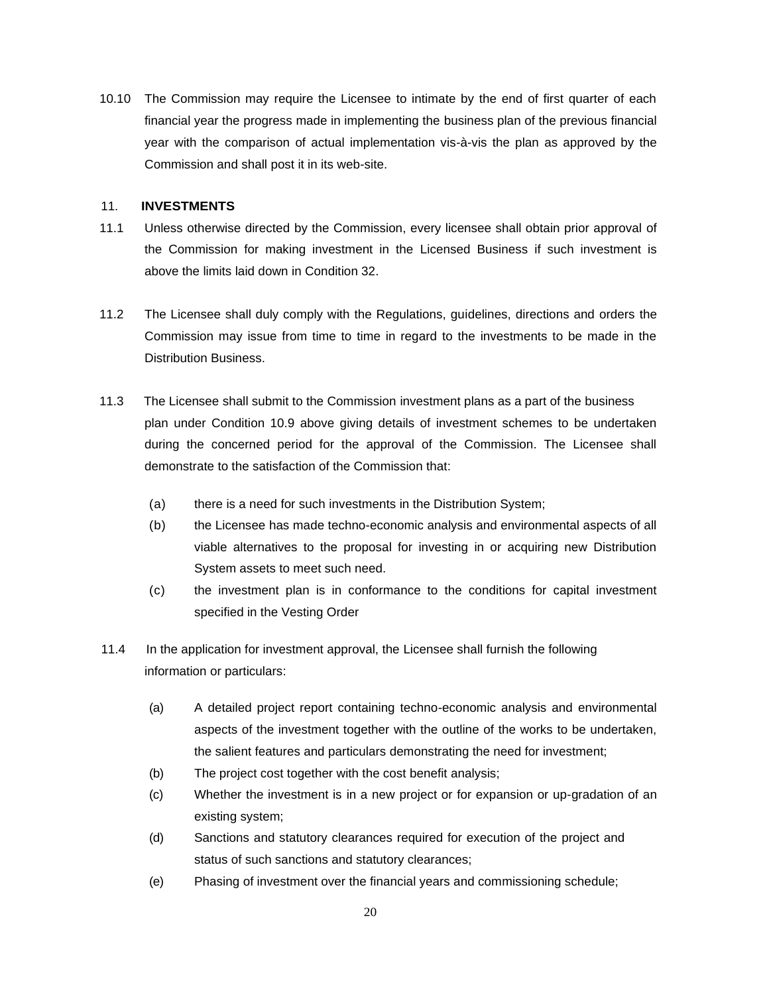10.10 The Commission may require the Licensee to intimate by the end of first quarter of each financial year the progress made in implementing the business plan of the previous financial year with the comparison of actual implementation vis-à-vis the plan as approved by the Commission and shall post it in its web-site.

#### 11. **INVESTMENTS**

- 11.1 Unless otherwise directed by the Commission, every licensee shall obtain prior approval of the Commission for making investment in the Licensed Business if such investment is above the limits laid down in Condition 32.
- 11.2 The Licensee shall duly comply with the Regulations, guidelines, directions and orders the Commission may issue from time to time in regard to the investments to be made in the Distribution Business.
- 11.3 The Licensee shall submit to the Commission investment plans as a part of the business plan under Condition 10.9 above giving details of investment schemes to be undertaken during the concerned period for the approval of the Commission. The Licensee shall demonstrate to the satisfaction of the Commission that:
	- (a) there is a need for such investments in the Distribution System;
	- (b) the Licensee has made techno-economic analysis and environmental aspects of all viable alternatives to the proposal for investing in or acquiring new Distribution System assets to meet such need.
	- (c) the investment plan is in conformance to the conditions for capital investment specified in the Vesting Order
- 11.4 In the application for investment approval, the Licensee shall furnish the following information or particulars:
	- (a) A detailed project report containing techno-economic analysis and environmental aspects of the investment together with the outline of the works to be undertaken, the salient features and particulars demonstrating the need for investment;
	- (b) The project cost together with the cost benefit analysis;
	- (c) Whether the investment is in a new project or for expansion or up-gradation of an existing system;
	- (d) Sanctions and statutory clearances required for execution of the project and status of such sanctions and statutory clearances;
	- (e) Phasing of investment over the financial years and commissioning schedule;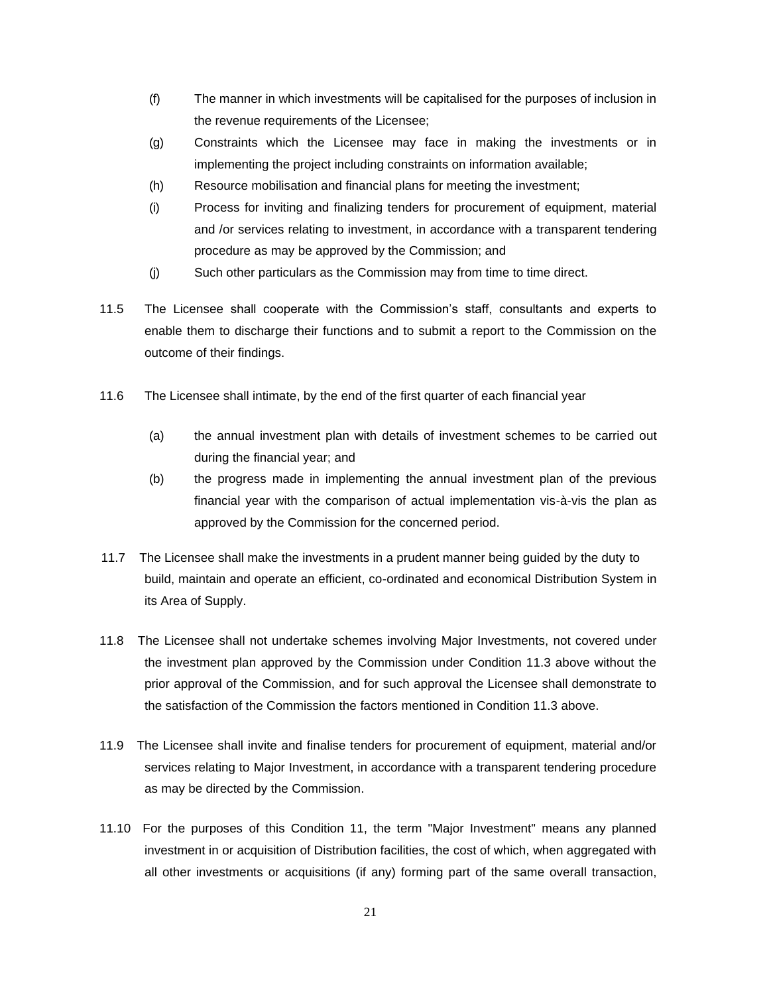- (f) The manner in which investments will be capitalised for the purposes of inclusion in the revenue requirements of the Licensee;
- (g) Constraints which the Licensee may face in making the investments or in implementing the project including constraints on information available;
- (h) Resource mobilisation and financial plans for meeting the investment;
- (i) Process for inviting and finalizing tenders for procurement of equipment, material and /or services relating to investment, in accordance with a transparent tendering procedure as may be approved by the Commission; and
- (j) Such other particulars as the Commission may from time to time direct.
- 11.5 The Licensee shall cooperate with the Commission's staff, consultants and experts to enable them to discharge their functions and to submit a report to the Commission on the outcome of their findings.
- 11.6 The Licensee shall intimate, by the end of the first quarter of each financial year
	- (a) the annual investment plan with details of investment schemes to be carried out during the financial year; and
	- (b) the progress made in implementing the annual investment plan of the previous financial year with the comparison of actual implementation vis-à-vis the plan as approved by the Commission for the concerned period.
- 11.7 The Licensee shall make the investments in a prudent manner being guided by the duty to build, maintain and operate an efficient, co-ordinated and economical Distribution System in its Area of Supply.
- 11.8 The Licensee shall not undertake schemes involving Major Investments, not covered under the investment plan approved by the Commission under Condition 11.3 above without the prior approval of the Commission, and for such approval the Licensee shall demonstrate to the satisfaction of the Commission the factors mentioned in Condition 11.3 above.
- 11.9 The Licensee shall invite and finalise tenders for procurement of equipment, material and/or services relating to Major Investment, in accordance with a transparent tendering procedure as may be directed by the Commission.
- 11.10 For the purposes of this Condition 11, the term "Major Investment" means any planned investment in or acquisition of Distribution facilities, the cost of which, when aggregated with all other investments or acquisitions (if any) forming part of the same overall transaction,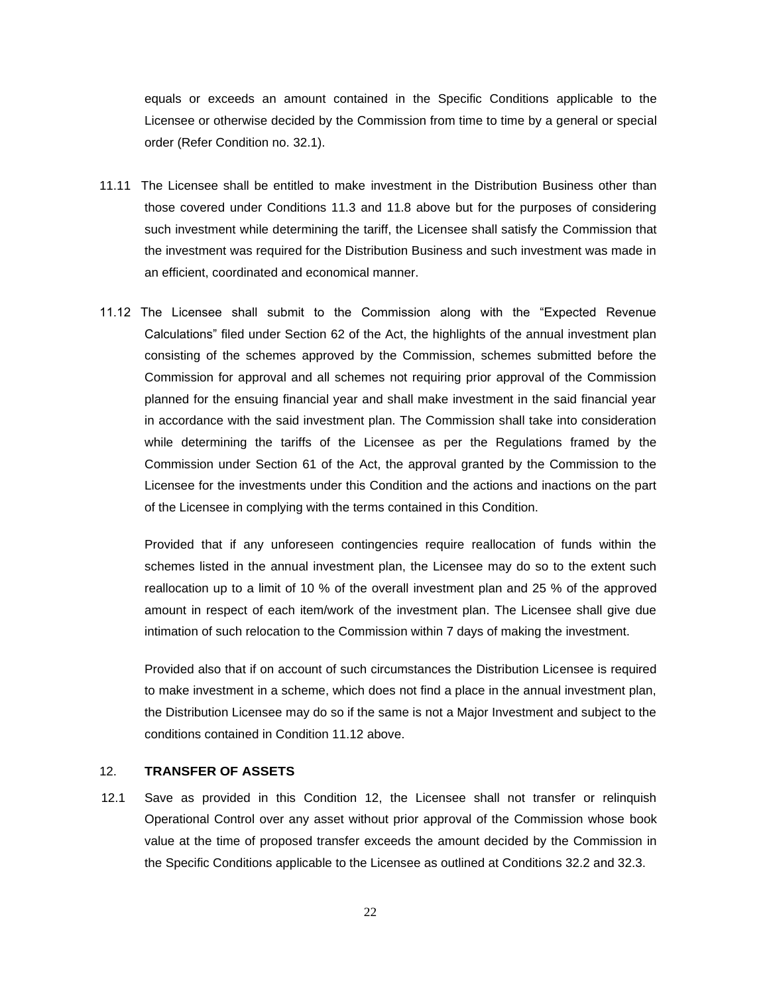equals or exceeds an amount contained in the Specific Conditions applicable to the Licensee or otherwise decided by the Commission from time to time by a general or special order (Refer Condition no. 32.1).

- 11.11 The Licensee shall be entitled to make investment in the Distribution Business other than those covered under Conditions 11.3 and 11.8 above but for the purposes of considering such investment while determining the tariff, the Licensee shall satisfy the Commission that the investment was required for the Distribution Business and such investment was made in an efficient, coordinated and economical manner.
- 11.12 The Licensee shall submit to the Commission along with the "Expected Revenue Calculations" filed under Section 62 of the Act, the highlights of the annual investment plan consisting of the schemes approved by the Commission, schemes submitted before the Commission for approval and all schemes not requiring prior approval of the Commission planned for the ensuing financial year and shall make investment in the said financial year in accordance with the said investment plan. The Commission shall take into consideration while determining the tariffs of the Licensee as per the Regulations framed by the Commission under Section 61 of the Act, the approval granted by the Commission to the Licensee for the investments under this Condition and the actions and inactions on the part of the Licensee in complying with the terms contained in this Condition.

Provided that if any unforeseen contingencies require reallocation of funds within the schemes listed in the annual investment plan, the Licensee may do so to the extent such reallocation up to a limit of 10 % of the overall investment plan and 25 % of the approved amount in respect of each item/work of the investment plan. The Licensee shall give due intimation of such relocation to the Commission within 7 days of making the investment.

Provided also that if on account of such circumstances the Distribution Licensee is required to make investment in a scheme, which does not find a place in the annual investment plan, the Distribution Licensee may do so if the same is not a Major Investment and subject to the conditions contained in Condition 11.12 above.

## 12. **TRANSFER OF ASSETS**

12.1 Save as provided in this Condition 12, the Licensee shall not transfer or relinquish Operational Control over any asset without prior approval of the Commission whose book value at the time of proposed transfer exceeds the amount decided by the Commission in the Specific Conditions applicable to the Licensee as outlined at Conditions 32.2 and 32.3.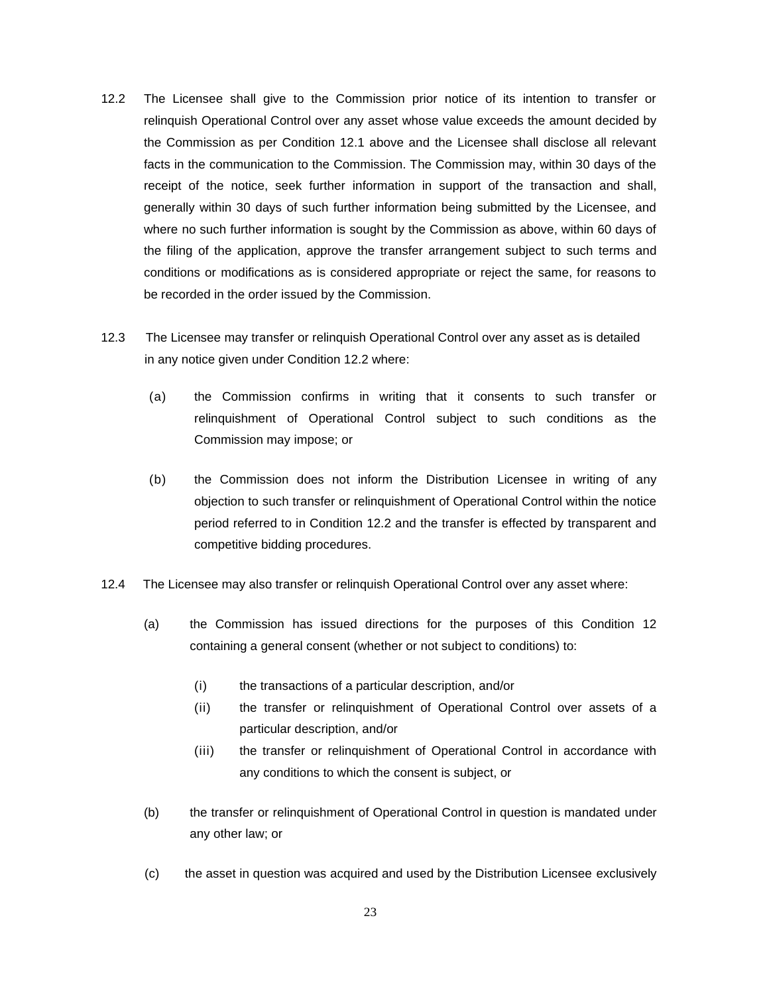- 12.2 The Licensee shall give to the Commission prior notice of its intention to transfer or relinquish Operational Control over any asset whose value exceeds the amount decided by the Commission as per Condition 12.1 above and the Licensee shall disclose all relevant facts in the communication to the Commission. The Commission may, within 30 days of the receipt of the notice, seek further information in support of the transaction and shall, generally within 30 days of such further information being submitted by the Licensee, and where no such further information is sought by the Commission as above, within 60 days of the filing of the application, approve the transfer arrangement subject to such terms and conditions or modifications as is considered appropriate or reject the same, for reasons to be recorded in the order issued by the Commission.
- 12.3 The Licensee may transfer or relinquish Operational Control over any asset as is detailed in any notice given under Condition 12.2 where:
	- (a) the Commission confirms in writing that it consents to such transfer or relinquishment of Operational Control subject to such conditions as the Commission may impose; or
	- (b) the Commission does not inform the Distribution Licensee in writing of any objection to such transfer or relinquishment of Operational Control within the notice period referred to in Condition 12.2 and the transfer is effected by transparent and competitive bidding procedures.
- 12.4 The Licensee may also transfer or relinquish Operational Control over any asset where:
	- (a) the Commission has issued directions for the purposes of this Condition 12 containing a general consent (whether or not subject to conditions) to:
		- (i) the transactions of a particular description, and/or
		- (ii) the transfer or relinquishment of Operational Control over assets of a particular description, and/or
		- (iii) the transfer or relinquishment of Operational Control in accordance with any conditions to which the consent is subject, or
	- (b) the transfer or relinquishment of Operational Control in question is mandated under any other law; or
	- (c) the asset in question was acquired and used by the Distribution Licensee exclusively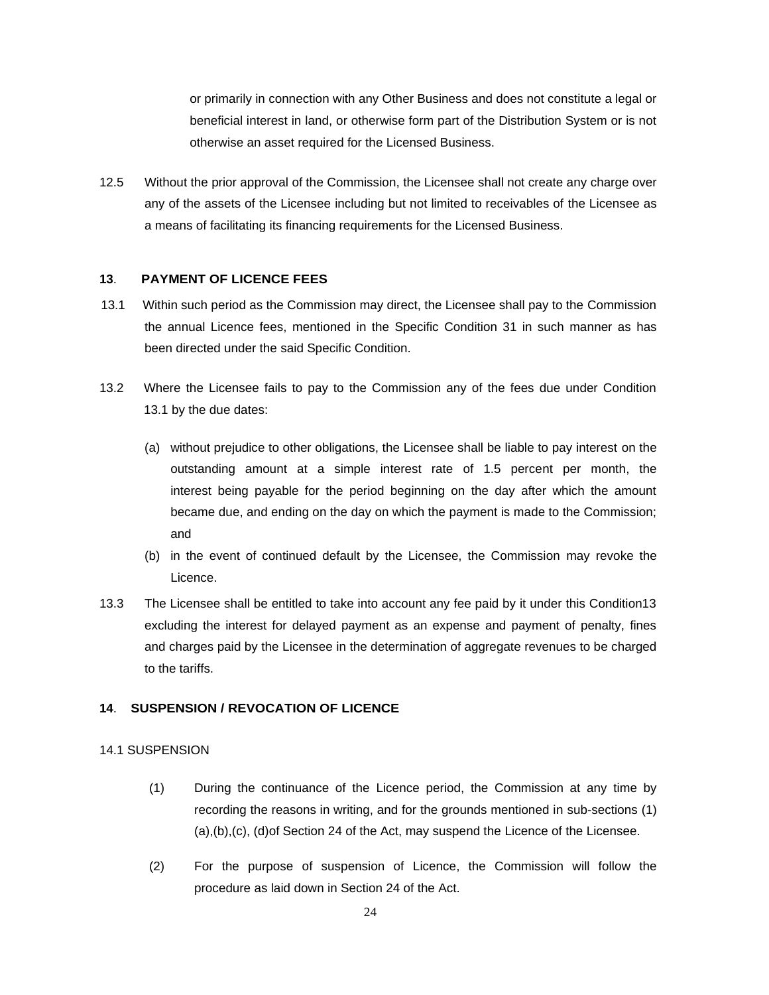or primarily in connection with any Other Business and does not constitute a legal or beneficial interest in land, or otherwise form part of the Distribution System or is not otherwise an asset required for the Licensed Business.

12.5 Without the prior approval of the Commission, the Licensee shall not create any charge over any of the assets of the Licensee including but not limited to receivables of the Licensee as a means of facilitating its financing requirements for the Licensed Business.

#### **13**. **PAYMENT OF LICENCE FEES**

- 13.1 Within such period as the Commission may direct, the Licensee shall pay to the Commission the annual Licence fees, mentioned in the Specific Condition 31 in such manner as has been directed under the said Specific Condition.
- 13.2 Where the Licensee fails to pay to the Commission any of the fees due under Condition 13.1 by the due dates:
	- (a) without prejudice to other obligations, the Licensee shall be liable to pay interest on the outstanding amount at a simple interest rate of 1.5 percent per month, the interest being payable for the period beginning on the day after which the amount became due, and ending on the day on which the payment is made to the Commission; and
	- (b) in the event of continued default by the Licensee, the Commission may revoke the Licence.
- 13.3 The Licensee shall be entitled to take into account any fee paid by it under this Condition13 excluding the interest for delayed payment as an expense and payment of penalty, fines and charges paid by the Licensee in the determination of aggregate revenues to be charged to the tariffs.

## **14**. **SUSPENSION / REVOCATION OF LICENCE**

#### 14.1 SUSPENSION

- (1) During the continuance of the Licence period, the Commission at any time by recording the reasons in writing, and for the grounds mentioned in sub-sections (1) (a),(b),(c), (d)of Section 24 of the Act, may suspend the Licence of the Licensee.
- (2) For the purpose of suspension of Licence, the Commission will follow the procedure as laid down in Section 24 of the Act.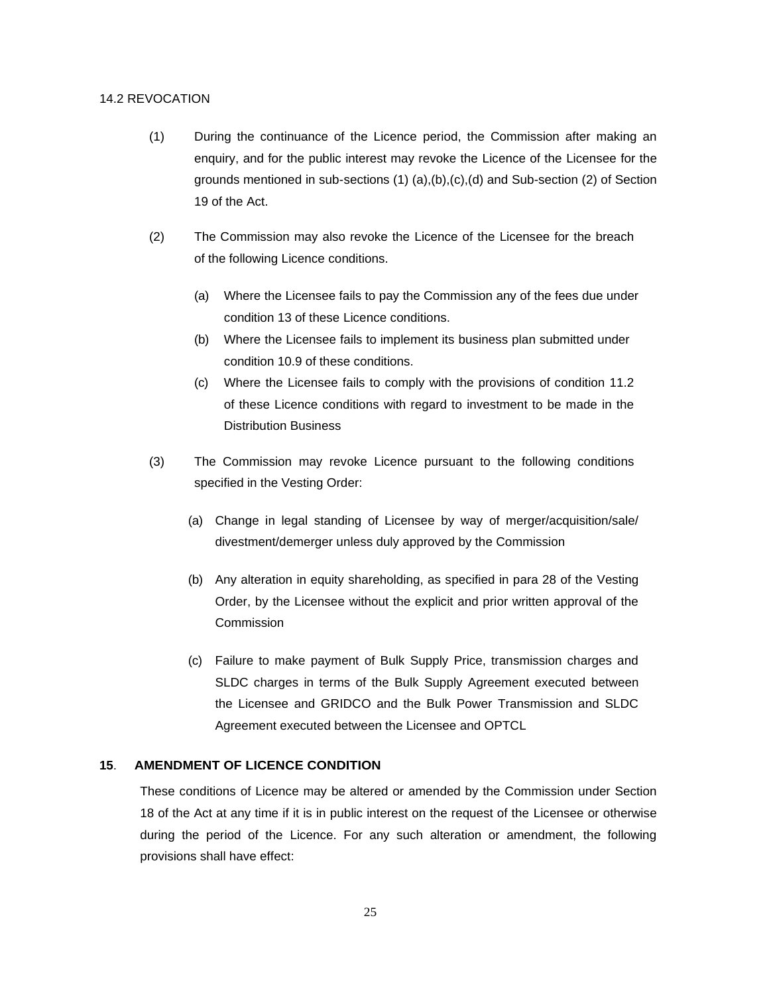#### 14.2 REVOCATION

- (1) During the continuance of the Licence period, the Commission after making an enquiry, and for the public interest may revoke the Licence of the Licensee for the grounds mentioned in sub-sections (1) (a),(b),(c),(d) and Sub-section (2) of Section 19 of the Act.
- (2) The Commission may also revoke the Licence of the Licensee for the breach of the following Licence conditions.
	- (a) Where the Licensee fails to pay the Commission any of the fees due under condition 13 of these Licence conditions.
	- (b) Where the Licensee fails to implement its business plan submitted under condition 10.9 of these conditions.
	- (c) Where the Licensee fails to comply with the provisions of condition 11.2 of these Licence conditions with regard to investment to be made in the Distribution Business
- (3) The Commission may revoke Licence pursuant to the following conditions specified in the Vesting Order:
	- (a) Change in legal standing of Licensee by way of merger/acquisition/sale/ divestment/demerger unless duly approved by the Commission
	- (b) Any alteration in equity shareholding, as specified in para 28 of the Vesting Order, by the Licensee without the explicit and prior written approval of the **Commission**
	- (c) Failure to make payment of Bulk Supply Price, transmission charges and SLDC charges in terms of the Bulk Supply Agreement executed between the Licensee and GRIDCO and the Bulk Power Transmission and SLDC Agreement executed between the Licensee and OPTCL

## **15**. **AMENDMENT OF LICENCE CONDITION**

These conditions of Licence may be altered or amended by the Commission under Section 18 of the Act at any time if it is in public interest on the request of the Licensee or otherwise during the period of the Licence. For any such alteration or amendment, the following provisions shall have effect: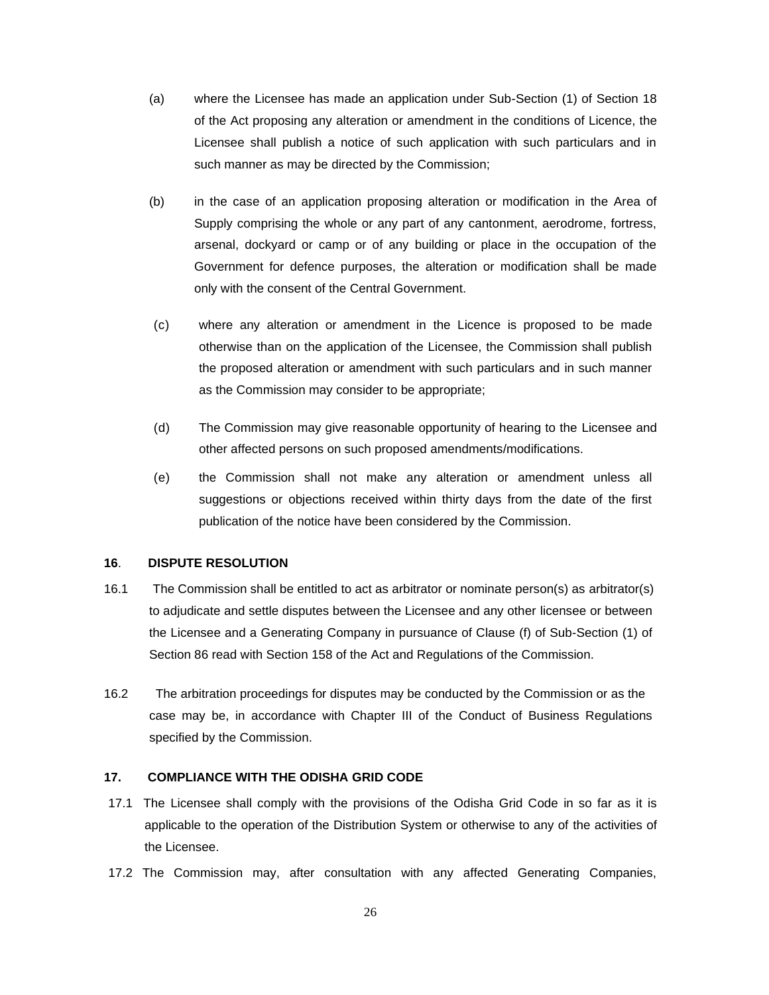- (a) where the Licensee has made an application under Sub-Section (1) of Section 18 of the Act proposing any alteration or amendment in the conditions of Licence, the Licensee shall publish a notice of such application with such particulars and in such manner as may be directed by the Commission;
- (b) in the case of an application proposing alteration or modification in the Area of Supply comprising the whole or any part of any cantonment, aerodrome, fortress, arsenal, dockyard or camp or of any building or place in the occupation of the Government for defence purposes, the alteration or modification shall be made only with the consent of the Central Government.
- (c) where any alteration or amendment in the Licence is proposed to be made otherwise than on the application of the Licensee, the Commission shall publish the proposed alteration or amendment with such particulars and in such manner as the Commission may consider to be appropriate;
- (d) The Commission may give reasonable opportunity of hearing to the Licensee and other affected persons on such proposed amendments/modifications.
- (e) the Commission shall not make any alteration or amendment unless all suggestions or objections received within thirty days from the date of the first publication of the notice have been considered by the Commission.

## **16**. **DISPUTE RESOLUTION**

- 16.1 The Commission shall be entitled to act as arbitrator or nominate person(s) as arbitrator(s) to adjudicate and settle disputes between the Licensee and any other licensee or between the Licensee and a Generating Company in pursuance of Clause (f) of Sub-Section (1) of Section 86 read with Section 158 of the Act and Regulations of the Commission.
- 16.2 The arbitration proceedings for disputes may be conducted by the Commission or as the case may be, in accordance with Chapter III of the Conduct of Business Regulations specified by the Commission.

#### **17. COMPLIANCE WITH THE ODISHA GRID CODE**

- 17.1 The Licensee shall comply with the provisions of the Odisha Grid Code in so far as it is applicable to the operation of the Distribution System or otherwise to any of the activities of the Licensee.
- 17.2 The Commission may, after consultation with any affected Generating Companies,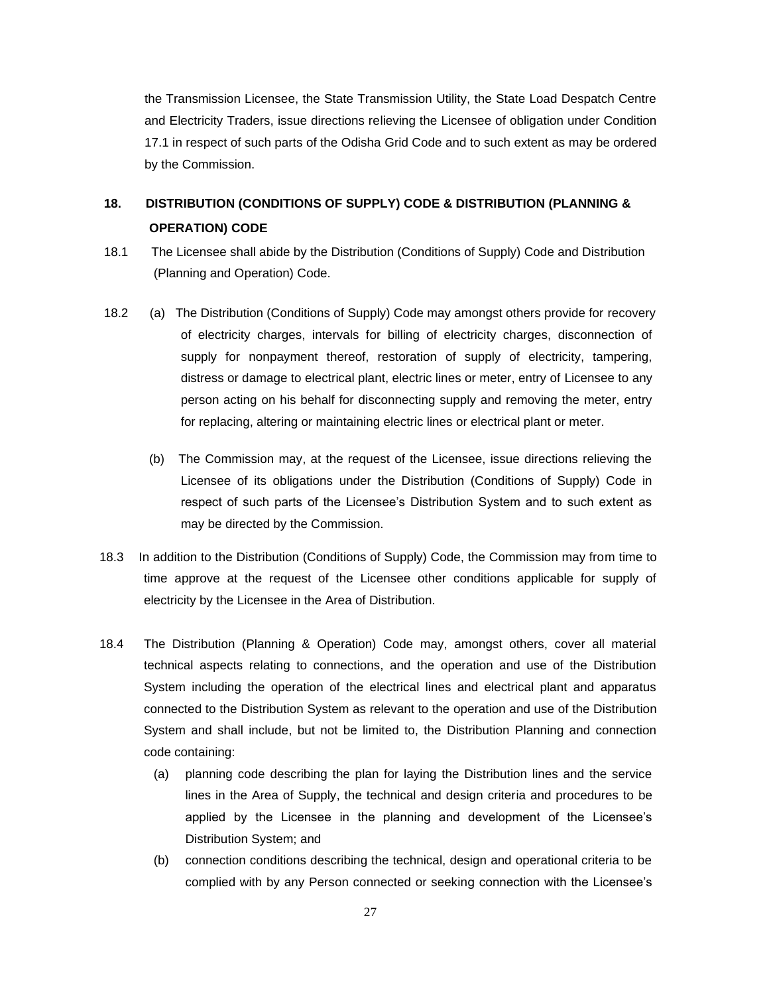the Transmission Licensee, the State Transmission Utility, the State Load Despatch Centre and Electricity Traders, issue directions relieving the Licensee of obligation under Condition 17.1 in respect of such parts of the Odisha Grid Code and to such extent as may be ordered by the Commission.

## **18. DISTRIBUTION (CONDITIONS OF SUPPLY) CODE & DISTRIBUTION (PLANNING & OPERATION) CODE**

- 18.1 The Licensee shall abide by the Distribution (Conditions of Supply) Code and Distribution (Planning and Operation) Code.
- 18.2 (a) The Distribution (Conditions of Supply) Code may amongst others provide for recovery of electricity charges, intervals for billing of electricity charges, disconnection of supply for nonpayment thereof, restoration of supply of electricity, tampering, distress or damage to electrical plant, electric lines or meter, entry of Licensee to any person acting on his behalf for disconnecting supply and removing the meter, entry for replacing, altering or maintaining electric lines or electrical plant or meter.
	- (b) The Commission may, at the request of the Licensee, issue directions relieving the Licensee of its obligations under the Distribution (Conditions of Supply) Code in respect of such parts of the Licensee's Distribution System and to such extent as may be directed by the Commission.
- 18.3 In addition to the Distribution (Conditions of Supply) Code, the Commission may from time to time approve at the request of the Licensee other conditions applicable for supply of electricity by the Licensee in the Area of Distribution.
- 18.4 The Distribution (Planning & Operation) Code may, amongst others, cover all material technical aspects relating to connections, and the operation and use of the Distribution System including the operation of the electrical lines and electrical plant and apparatus connected to the Distribution System as relevant to the operation and use of the Distribution System and shall include, but not be limited to, the Distribution Planning and connection code containing:
	- (a) planning code describing the plan for laying the Distribution lines and the service lines in the Area of Supply, the technical and design criteria and procedures to be applied by the Licensee in the planning and development of the Licensee's Distribution System; and
	- (b) connection conditions describing the technical, design and operational criteria to be complied with by any Person connected or seeking connection with the Licensee's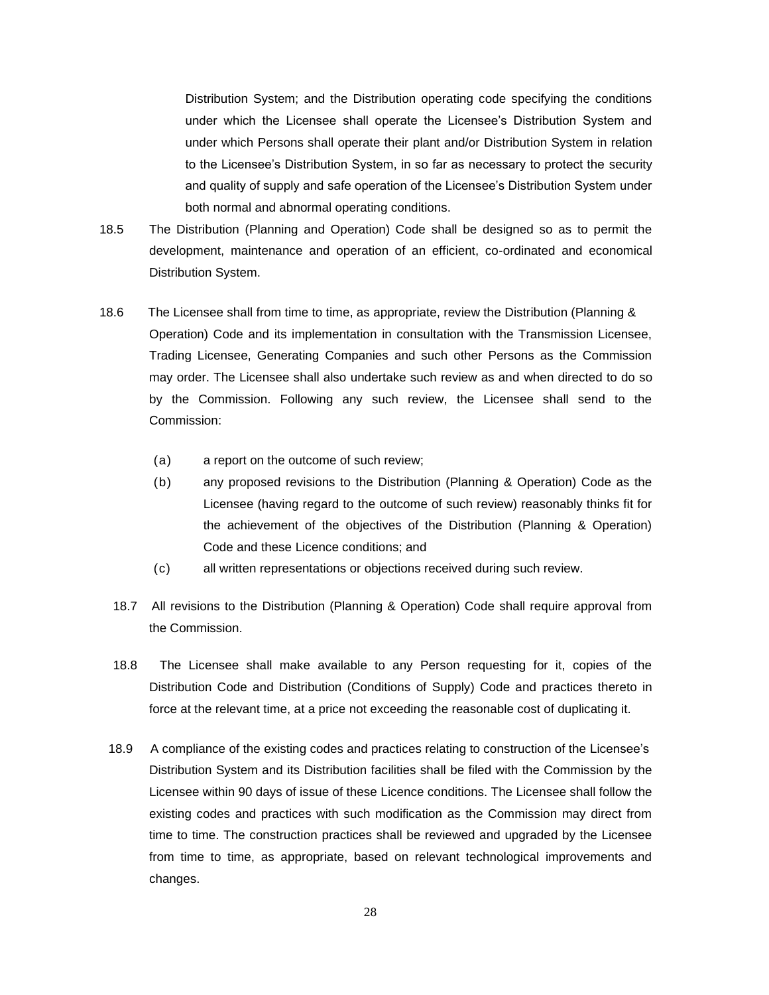Distribution System; and the Distribution operating code specifying the conditions under which the Licensee shall operate the Licensee's Distribution System and under which Persons shall operate their plant and/or Distribution System in relation to the Licensee's Distribution System, in so far as necessary to protect the security and quality of supply and safe operation of the Licensee's Distribution System under both normal and abnormal operating conditions.

- 18.5 The Distribution (Planning and Operation) Code shall be designed so as to permit the development, maintenance and operation of an efficient, co-ordinated and economical Distribution System.
- 18.6 The Licensee shall from time to time, as appropriate, review the Distribution (Planning & Operation) Code and its implementation in consultation with the Transmission Licensee, Trading Licensee, Generating Companies and such other Persons as the Commission may order. The Licensee shall also undertake such review as and when directed to do so by the Commission. Following any such review, the Licensee shall send to the Commission:
	- (a) a report on the outcome of such review;
	- (b) any proposed revisions to the Distribution (Planning & Operation) Code as the Licensee (having regard to the outcome of such review) reasonably thinks fit for the achievement of the objectives of the Distribution (Planning & Operation) Code and these Licence conditions; and
	- (c) all written representations or objections received during such review.
	- 18.7 All revisions to the Distribution (Planning & Operation) Code shall require approval from the Commission.
	- 18.8 The Licensee shall make available to any Person requesting for it, copies of the Distribution Code and Distribution (Conditions of Supply) Code and practices thereto in force at the relevant time, at a price not exceeding the reasonable cost of duplicating it.
	- 18.9 A compliance of the existing codes and practices relating to construction of the Licensee's Distribution System and its Distribution facilities shall be filed with the Commission by the Licensee within 90 days of issue of these Licence conditions. The Licensee shall follow the existing codes and practices with such modification as the Commission may direct from time to time. The construction practices shall be reviewed and upgraded by the Licensee from time to time, as appropriate, based on relevant technological improvements and changes.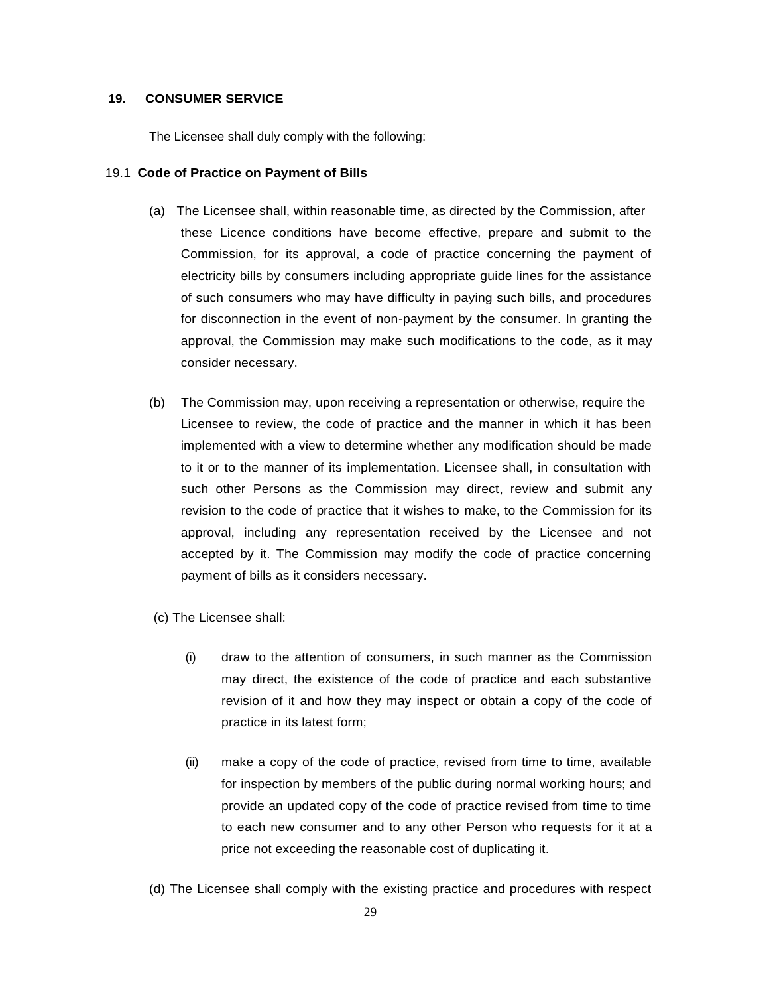#### **19. CONSUMER SERVICE**

The Licensee shall duly comply with the following:

#### 19.1 **Code of Practice on Payment of Bills**

- (a) The Licensee shall, within reasonable time, as directed by the Commission, after these Licence conditions have become effective, prepare and submit to the Commission, for its approval, a code of practice concerning the payment of electricity bills by consumers including appropriate guide lines for the assistance of such consumers who may have difficulty in paying such bills, and procedures for disconnection in the event of non-payment by the consumer. In granting the approval, the Commission may make such modifications to the code, as it may consider necessary.
- (b) The Commission may, upon receiving a representation or otherwise, require the Licensee to review, the code of practice and the manner in which it has been implemented with a view to determine whether any modification should be made to it or to the manner of its implementation. Licensee shall, in consultation with such other Persons as the Commission may direct, review and submit any revision to the code of practice that it wishes to make, to the Commission for its approval, including any representation received by the Licensee and not accepted by it. The Commission may modify the code of practice concerning payment of bills as it considers necessary.
- (c) The Licensee shall:
	- (i) draw to the attention of consumers, in such manner as the Commission may direct, the existence of the code of practice and each substantive revision of it and how they may inspect or obtain a copy of the code of practice in its latest form;
	- (ii) make a copy of the code of practice, revised from time to time, available for inspection by members of the public during normal working hours; and provide an updated copy of the code of practice revised from time to time to each new consumer and to any other Person who requests for it at a price not exceeding the reasonable cost of duplicating it.
- (d) The Licensee shall comply with the existing practice and procedures with respect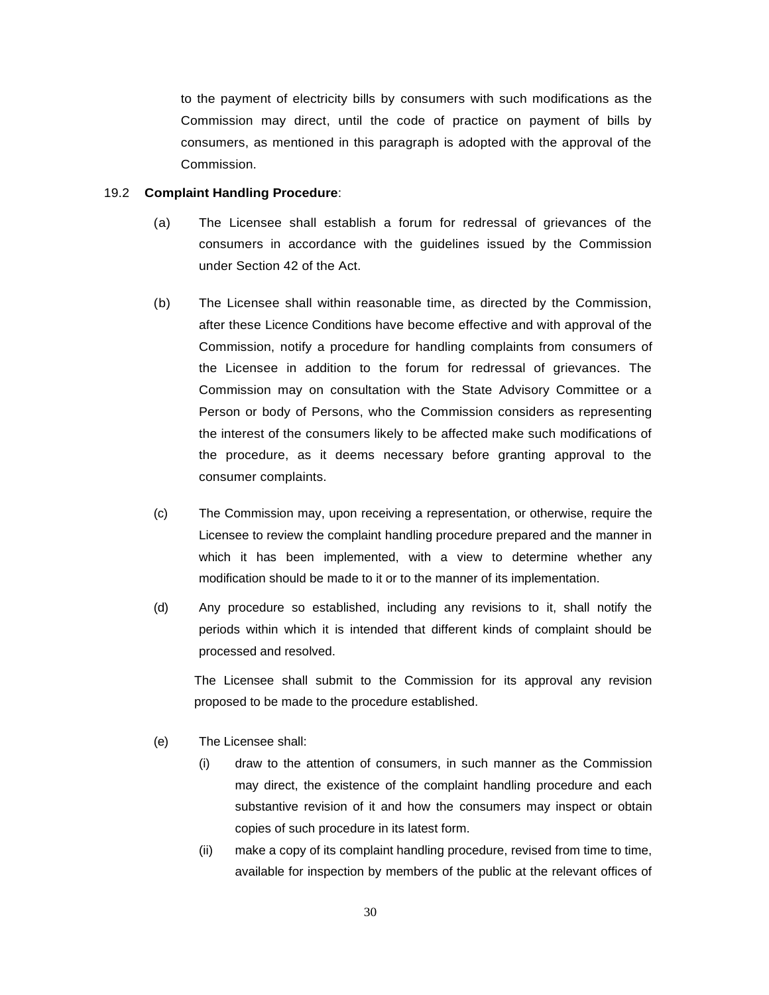to the payment of electricity bills by consumers with such modifications as the Commission may direct, until the code of practice on payment of bills by consumers, as mentioned in this paragraph is adopted with the approval of the Commission.

#### 19.2 **Complaint Handling Procedure**:

- (a) The Licensee shall establish a forum for redressal of grievances of the consumers in accordance with the guidelines issued by the Commission under Section 42 of the Act.
- (b) The Licensee shall within reasonable time, as directed by the Commission, after these Licence Conditions have become effective and with approval of the Commission, notify a procedure for handling complaints from consumers of the Licensee in addition to the forum for redressal of grievances. The Commission may on consultation with the State Advisory Committee or a Person or body of Persons, who the Commission considers as representing the interest of the consumers likely to be affected make such modifications of the procedure, as it deems necessary before granting approval to the consumer complaints.
- (c) The Commission may, upon receiving a representation, or otherwise, require the Licensee to review the complaint handling procedure prepared and the manner in which it has been implemented, with a view to determine whether any modification should be made to it or to the manner of its implementation.
- (d) Any procedure so established, including any revisions to it, shall notify the periods within which it is intended that different kinds of complaint should be processed and resolved.

The Licensee shall submit to the Commission for its approval any revision proposed to be made to the procedure established.

- (e) The Licensee shall:
	- (i) draw to the attention of consumers, in such manner as the Commission may direct, the existence of the complaint handling procedure and each substantive revision of it and how the consumers may inspect or obtain copies of such procedure in its latest form.
	- (ii) make a copy of its complaint handling procedure, revised from time to time, available for inspection by members of the public at the relevant offices of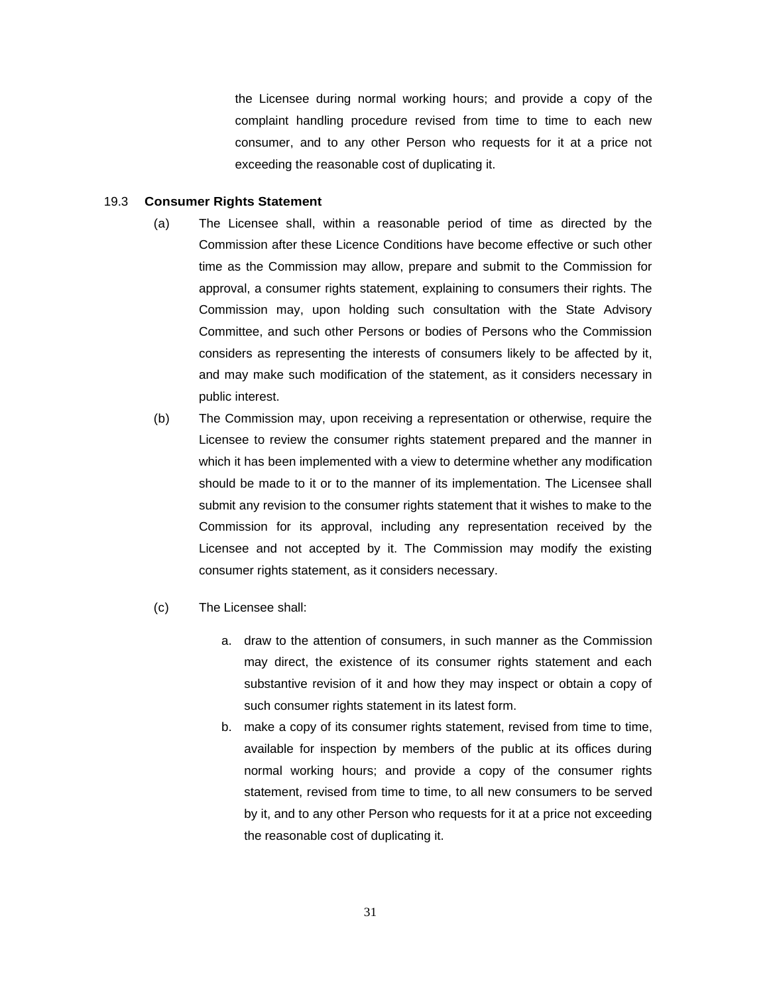the Licensee during normal working hours; and provide a copy of the complaint handling procedure revised from time to time to each new consumer, and to any other Person who requests for it at a price not exceeding the reasonable cost of duplicating it.

#### 19.3 **Consumer Rights Statement**

- (a) The Licensee shall, within a reasonable period of time as directed by the Commission after these Licence Conditions have become effective or such other time as the Commission may allow, prepare and submit to the Commission for approval, a consumer rights statement, explaining to consumers their rights. The Commission may, upon holding such consultation with the State Advisory Committee, and such other Persons or bodies of Persons who the Commission considers as representing the interests of consumers likely to be affected by it, and may make such modification of the statement, as it considers necessary in public interest.
- (b) The Commission may, upon receiving a representation or otherwise, require the Licensee to review the consumer rights statement prepared and the manner in which it has been implemented with a view to determine whether any modification should be made to it or to the manner of its implementation. The Licensee shall submit any revision to the consumer rights statement that it wishes to make to the Commission for its approval, including any representation received by the Licensee and not accepted by it. The Commission may modify the existing consumer rights statement, as it considers necessary.
- (c) The Licensee shall:
	- a. draw to the attention of consumers, in such manner as the Commission may direct, the existence of its consumer rights statement and each substantive revision of it and how they may inspect or obtain a copy of such consumer rights statement in its latest form.
	- b. make a copy of its consumer rights statement, revised from time to time, available for inspection by members of the public at its offices during normal working hours; and provide a copy of the consumer rights statement, revised from time to time, to all new consumers to be served by it, and to any other Person who requests for it at a price not exceeding the reasonable cost of duplicating it.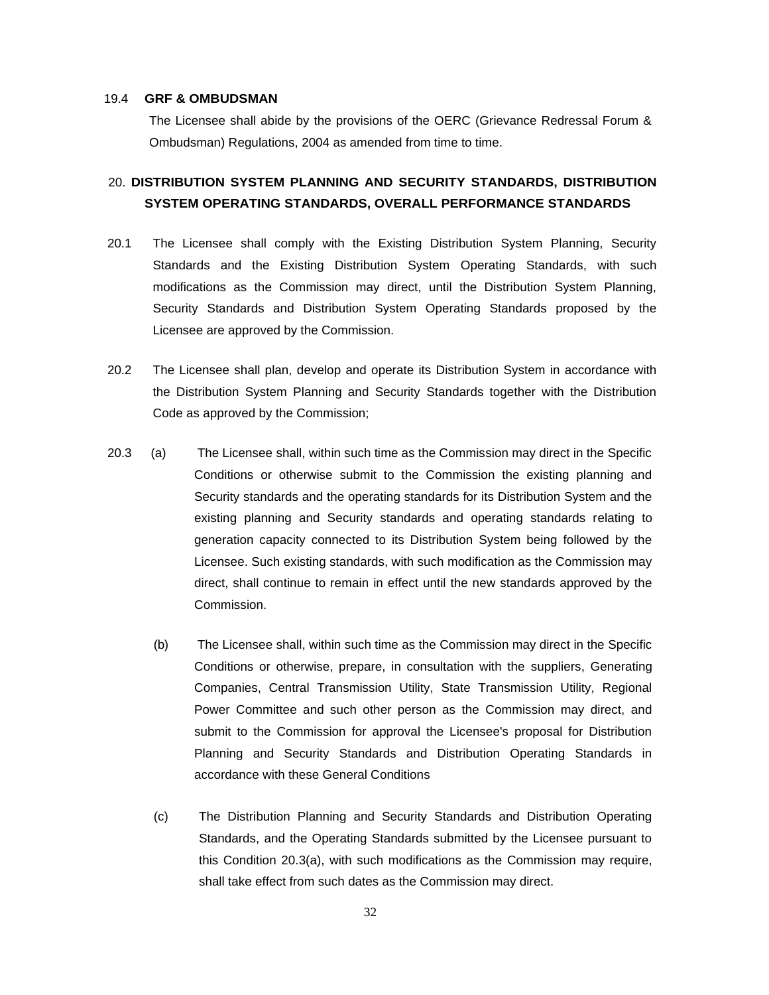#### 19.4 **GRF & OMBUDSMAN**

The Licensee shall abide by the provisions of the OERC (Grievance Redressal Forum & Ombudsman) Regulations, 2004 as amended from time to time.

## 20. **DISTRIBUTION SYSTEM PLANNING AND SECURITY STANDARDS, DISTRIBUTION SYSTEM OPERATING STANDARDS, OVERALL PERFORMANCE STANDARDS**

- 20.1 The Licensee shall comply with the Existing Distribution System Planning, Security Standards and the Existing Distribution System Operating Standards, with such modifications as the Commission may direct, until the Distribution System Planning, Security Standards and Distribution System Operating Standards proposed by the Licensee are approved by the Commission.
- 20.2 The Licensee shall plan, develop and operate its Distribution System in accordance with the Distribution System Planning and Security Standards together with the Distribution Code as approved by the Commission;
- 20.3 (a) The Licensee shall, within such time as the Commission may direct in the Specific Conditions or otherwise submit to the Commission the existing planning and Security standards and the operating standards for its Distribution System and the existing planning and Security standards and operating standards relating to generation capacity connected to its Distribution System being followed by the Licensee. Such existing standards, with such modification as the Commission may direct, shall continue to remain in effect until the new standards approved by the Commission.
	- (b) The Licensee shall, within such time as the Commission may direct in the Specific Conditions or otherwise, prepare, in consultation with the suppliers, Generating Companies, Central Transmission Utility, State Transmission Utility, Regional Power Committee and such other person as the Commission may direct, and submit to the Commission for approval the Licensee's proposal for Distribution Planning and Security Standards and Distribution Operating Standards in accordance with these General Conditions
	- (c) The Distribution Planning and Security Standards and Distribution Operating Standards, and the Operating Standards submitted by the Licensee pursuant to this Condition 20.3(a), with such modifications as the Commission may require, shall take effect from such dates as the Commission may direct.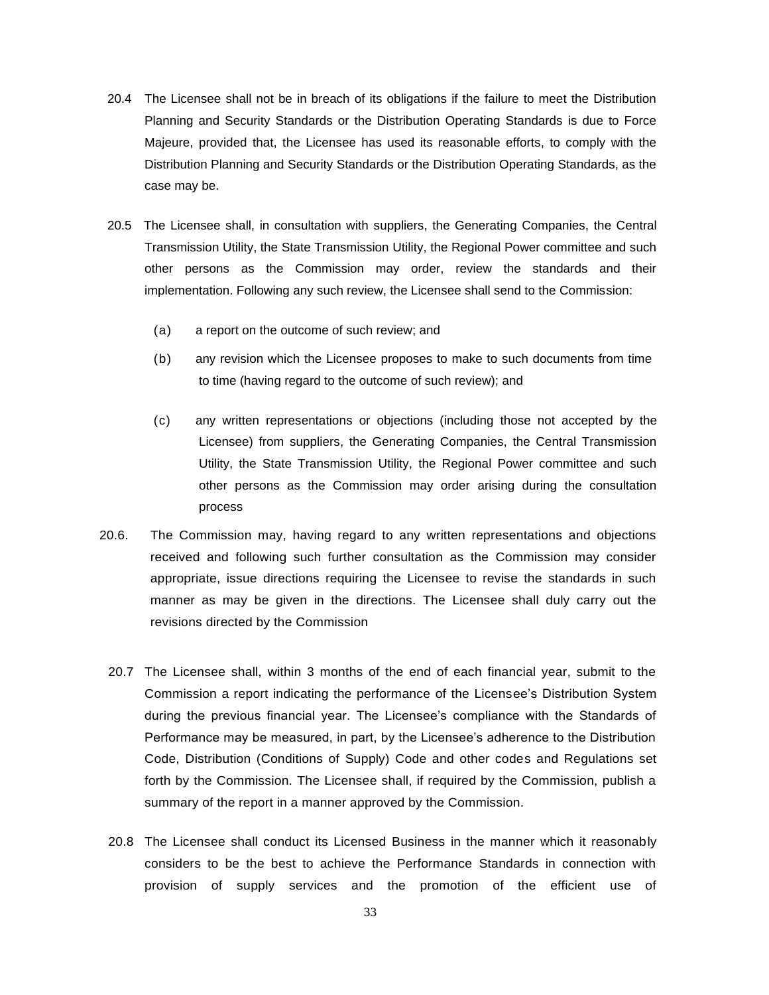- 20.4 The Licensee shall not be in breach of its obligations if the failure to meet the Distribution Planning and Security Standards or the Distribution Operating Standards is due to Force Majeure, provided that, the Licensee has used its reasonable efforts, to comply with the Distribution Planning and Security Standards or the Distribution Operating Standards, as the case may be.
- 20.5 The Licensee shall, in consultation with suppliers, the Generating Companies, the Central Transmission Utility, the State Transmission Utility, the Regional Power committee and such other persons as the Commission may order, review the standards and their implementation. Following any such review, the Licensee shall send to the Commission:
	- (a) a report on the outcome of such review; and
	- (b) any revision which the Licensee proposes to make to such documents from time to time (having regard to the outcome of such review); and
	- (c) any written representations or objections (including those not accepted by the Licensee) from suppliers, the Generating Companies, the Central Transmission Utility, the State Transmission Utility, the Regional Power committee and such other persons as the Commission may order arising during the consultation process
- 20.6. The Commission may, having regard to any written representations and objections received and following such further consultation as the Commission may consider appropriate, issue directions requiring the Licensee to revise the standards in such manner as may be given in the directions. The Licensee shall duly carry out the revisions directed by the Commission
	- 20.7 The Licensee shall, within 3 months of the end of each financial year, submit to the Commission a report indicating the performance of the Licensee's Distribution System during the previous financial year. The Licensee's compliance with the Standards of Performance may be measured, in part, by the Licensee's adherence to the Distribution Code, Distribution (Conditions of Supply) Code and other codes and Regulations set forth by the Commission. The Licensee shall, if required by the Commission, publish a summary of the report in a manner approved by the Commission.
	- 20.8 The Licensee shall conduct its Licensed Business in the manner which it reasonably considers to be the best to achieve the Performance Standards in connection with provision of supply services and the promotion of the efficient use of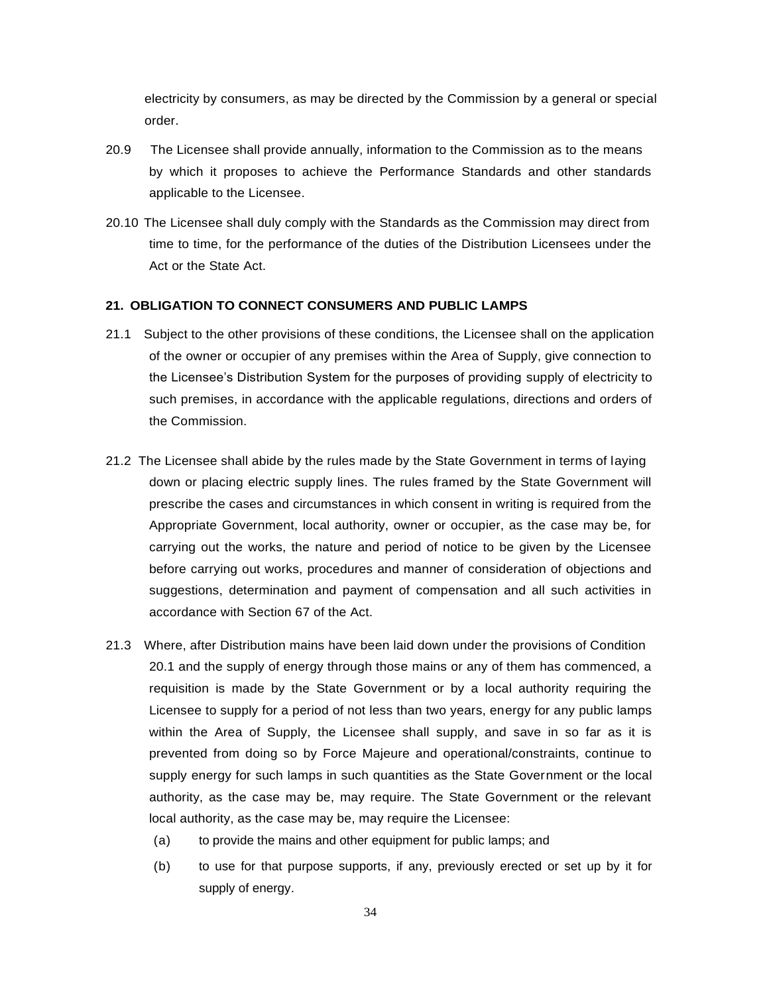electricity by consumers, as may be directed by the Commission by a general or special order.

- 20.9 The Licensee shall provide annually, information to the Commission as to the means by which it proposes to achieve the Performance Standards and other standards applicable to the Licensee.
- 20.10 The Licensee shall duly comply with the Standards as the Commission may direct from time to time, for the performance of the duties of the Distribution Licensees under the Act or the State Act.

#### **21. OBLIGATION TO CONNECT CONSUMERS AND PUBLIC LAMPS**

- 21.1 Subject to the other provisions of these conditions, the Licensee shall on the application of the owner or occupier of any premises within the Area of Supply, give connection to the Licensee's Distribution System for the purposes of providing supply of electricity to such premises, in accordance with the applicable regulations, directions and orders of the Commission.
- 21.2 The Licensee shall abide by the rules made by the State Government in terms of laying down or placing electric supply lines. The rules framed by the State Government will prescribe the cases and circumstances in which consent in writing is required from the Appropriate Government, local authority, owner or occupier, as the case may be, for carrying out the works, the nature and period of notice to be given by the Licensee before carrying out works, procedures and manner of consideration of objections and suggestions, determination and payment of compensation and all such activities in accordance with Section 67 of the Act.
- 21.3 Where, after Distribution mains have been laid down under the provisions of Condition 20.1 and the supply of energy through those mains or any of them has commenced, a requisition is made by the State Government or by a local authority requiring the Licensee to supply for a period of not less than two years, energy for any public lamps within the Area of Supply, the Licensee shall supply, and save in so far as it is prevented from doing so by Force Majeure and operational/constraints, continue to supply energy for such lamps in such quantities as the State Government or the local authority, as the case may be, may require. The State Government or the relevant local authority, as the case may be, may require the Licensee:
	- (a) to provide the mains and other equipment for public lamps; and
	- (b) to use for that purpose supports, if any, previously erected or set up by it for supply of energy.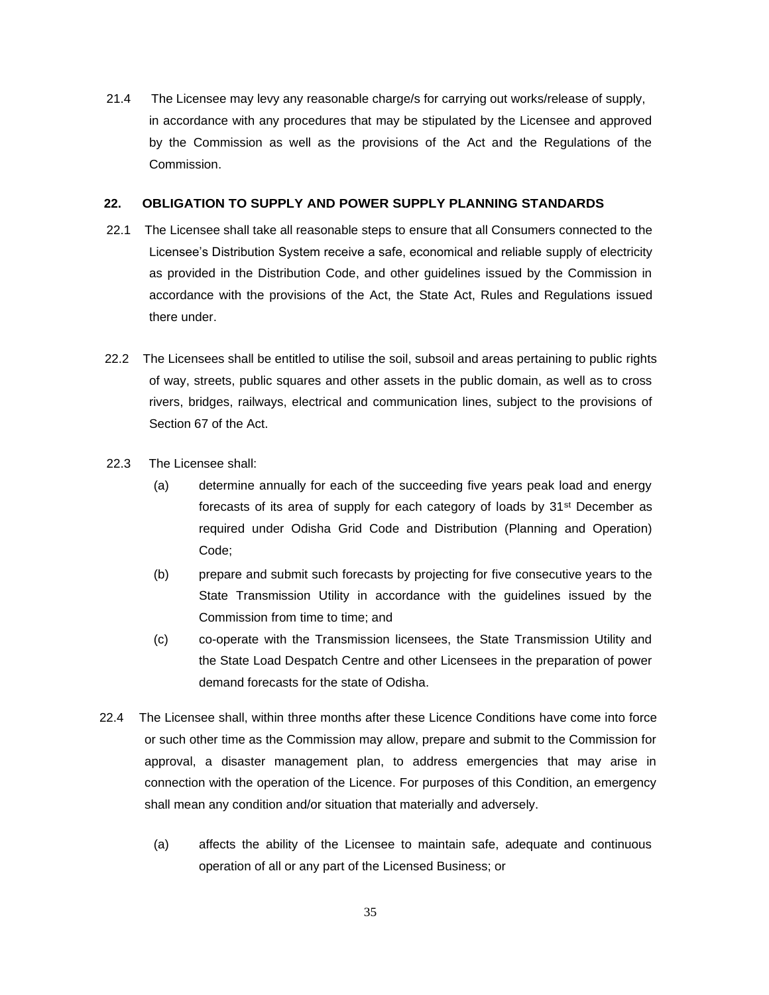21.4 The Licensee may levy any reasonable charge/s for carrying out works/release of supply, in accordance with any procedures that may be stipulated by the Licensee and approved by the Commission as well as the provisions of the Act and the Regulations of the Commission.

### **22. OBLIGATION TO SUPPLY AND POWER SUPPLY PLANNING STANDARDS**

- 22.1 The Licensee shall take all reasonable steps to ensure that all Consumers connected to the Licensee's Distribution System receive a safe, economical and reliable supply of electricity as provided in the Distribution Code, and other guidelines issued by the Commission in accordance with the provisions of the Act, the State Act, Rules and Regulations issued there under.
- 22.2 The Licensees shall be entitled to utilise the soil, subsoil and areas pertaining to public rights of way, streets, public squares and other assets in the public domain, as well as to cross rivers, bridges, railways, electrical and communication lines, subject to the provisions of Section 67 of the Act.
- 22.3 The Licensee shall:
	- (a) determine annually for each of the succeeding five years peak load and energy forecasts of its area of supply for each category of loads by 31st December as required under Odisha Grid Code and Distribution (Planning and Operation) Code;
	- (b) prepare and submit such forecasts by projecting for five consecutive years to the State Transmission Utility in accordance with the guidelines issued by the Commission from time to time; and
	- (c) co-operate with the Transmission licensees, the State Transmission Utility and the State Load Despatch Centre and other Licensees in the preparation of power demand forecasts for the state of Odisha.
- 22.4 The Licensee shall, within three months after these Licence Conditions have come into force or such other time as the Commission may allow, prepare and submit to the Commission for approval, a disaster management plan, to address emergencies that may arise in connection with the operation of the Licence. For purposes of this Condition, an emergency shall mean any condition and/or situation that materially and adversely.
	- (a) affects the ability of the Licensee to maintain safe, adequate and continuous operation of all or any part of the Licensed Business; or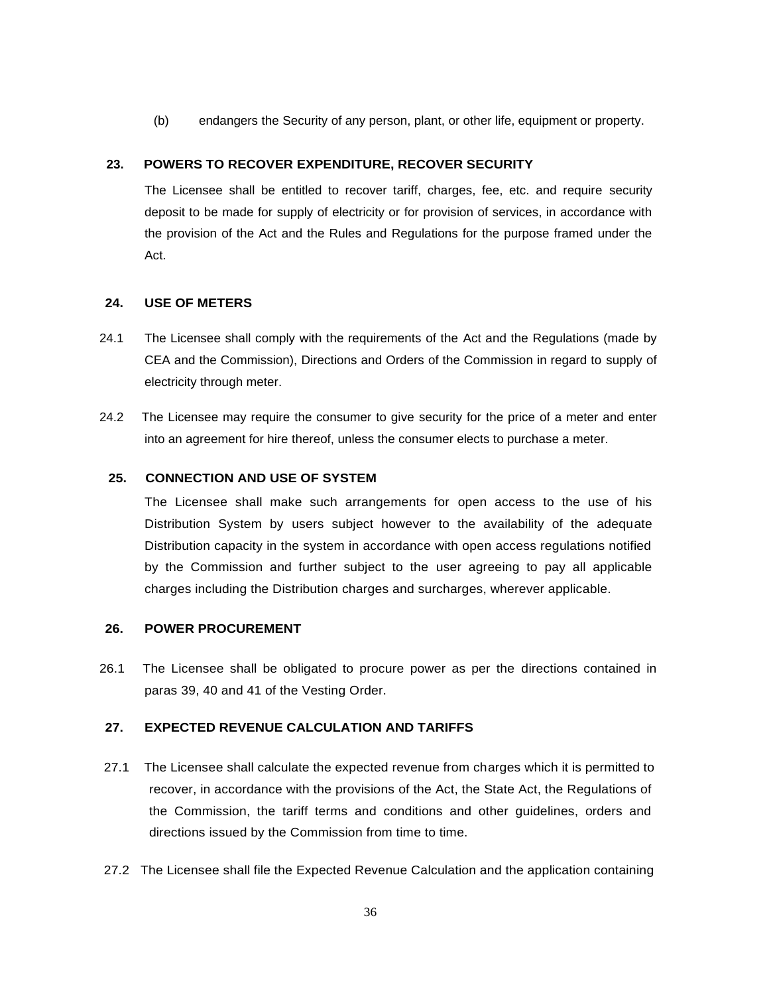(b) endangers the Security of any person, plant, or other life, equipment or property.

## **23. POWERS TO RECOVER EXPENDITURE, RECOVER SECURITY**

The Licensee shall be entitled to recover tariff, charges, fee, etc. and require security deposit to be made for supply of electricity or for provision of services, in accordance with the provision of the Act and the Rules and Regulations for the purpose framed under the Act.

## **24. USE OF METERS**

- 24.1 The Licensee shall comply with the requirements of the Act and the Regulations (made by CEA and the Commission), Directions and Orders of the Commission in regard to supply of electricity through meter.
- 24.2 The Licensee may require the consumer to give security for the price of a meter and enter into an agreement for hire thereof, unless the consumer elects to purchase a meter.

## **25. CONNECTION AND USE OF SYSTEM**

The Licensee shall make such arrangements for open access to the use of his Distribution System by users subject however to the availability of the adequate Distribution capacity in the system in accordance with open access regulations notified by the Commission and further subject to the user agreeing to pay all applicable charges including the Distribution charges and surcharges, wherever applicable.

## **26. POWER PROCUREMENT**

26.1 The Licensee shall be obligated to procure power as per the directions contained in paras 39, 40 and 41 of the Vesting Order.

## **27. EXPECTED REVENUE CALCULATION AND TARIFFS**

- 27.1 The Licensee shall calculate the expected revenue from charges which it is permitted to recover, in accordance with the provisions of the Act, the State Act, the Regulations of the Commission, the tariff terms and conditions and other guidelines, orders and directions issued by the Commission from time to time.
- 27.2 The Licensee shall file the Expected Revenue Calculation and the application containing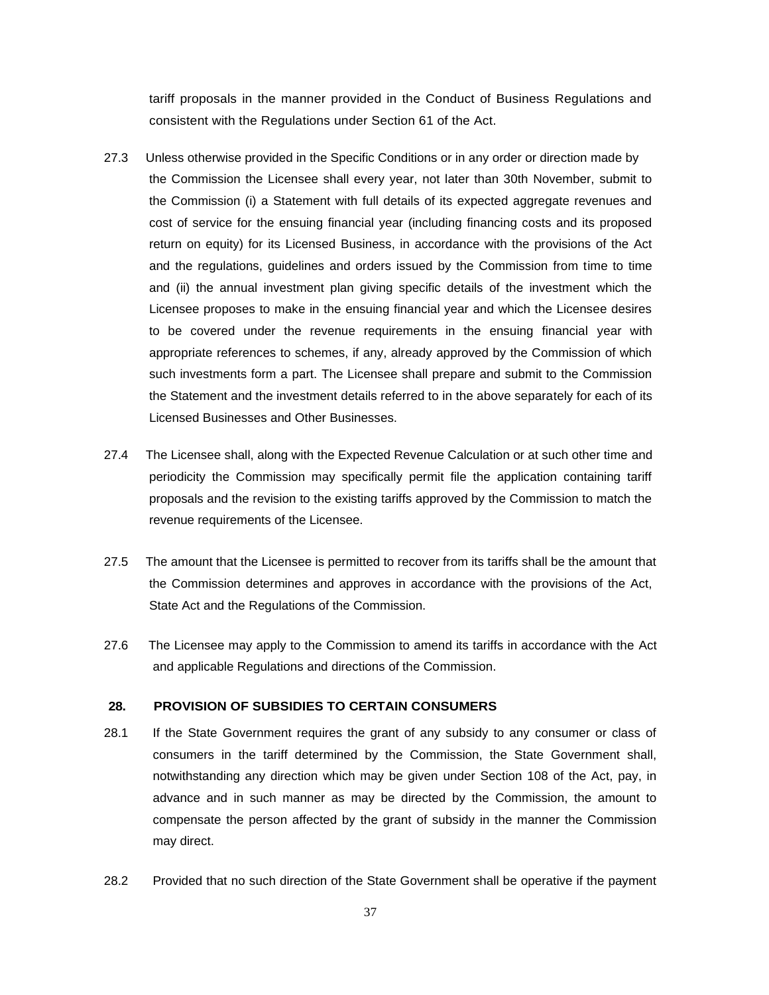tariff proposals in the manner provided in the Conduct of Business Regulations and consistent with the Regulations under Section 61 of the Act.

- 27.3 Unless otherwise provided in the Specific Conditions or in any order or direction made by the Commission the Licensee shall every year, not later than 30th November, submit to the Commission (i) a Statement with full details of its expected aggregate revenues and cost of service for the ensuing financial year (including financing costs and its proposed return on equity) for its Licensed Business, in accordance with the provisions of the Act and the regulations, guidelines and orders issued by the Commission from time to time and (ii) the annual investment plan giving specific details of the investment which the Licensee proposes to make in the ensuing financial year and which the Licensee desires to be covered under the revenue requirements in the ensuing financial year with appropriate references to schemes, if any, already approved by the Commission of which such investments form a part. The Licensee shall prepare and submit to the Commission the Statement and the investment details referred to in the above separately for each of its Licensed Businesses and Other Businesses.
- 27.4 The Licensee shall, along with the Expected Revenue Calculation or at such other time and periodicity the Commission may specifically permit file the application containing tariff proposals and the revision to the existing tariffs approved by the Commission to match the revenue requirements of the Licensee.
- 27.5 The amount that the Licensee is permitted to recover from its tariffs shall be the amount that the Commission determines and approves in accordance with the provisions of the Act, State Act and the Regulations of the Commission.
- 27.6 The Licensee may apply to the Commission to amend its tariffs in accordance with the Act and applicable Regulations and directions of the Commission.

#### **28. PROVISION OF SUBSIDIES TO CERTAIN CONSUMERS**

- 28.1 If the State Government requires the grant of any subsidy to any consumer or class of consumers in the tariff determined by the Commission, the State Government shall, notwithstanding any direction which may be given under Section 108 of the Act, pay, in advance and in such manner as may be directed by the Commission, the amount to compensate the person affected by the grant of subsidy in the manner the Commission may direct.
- 28.2 Provided that no such direction of the State Government shall be operative if the payment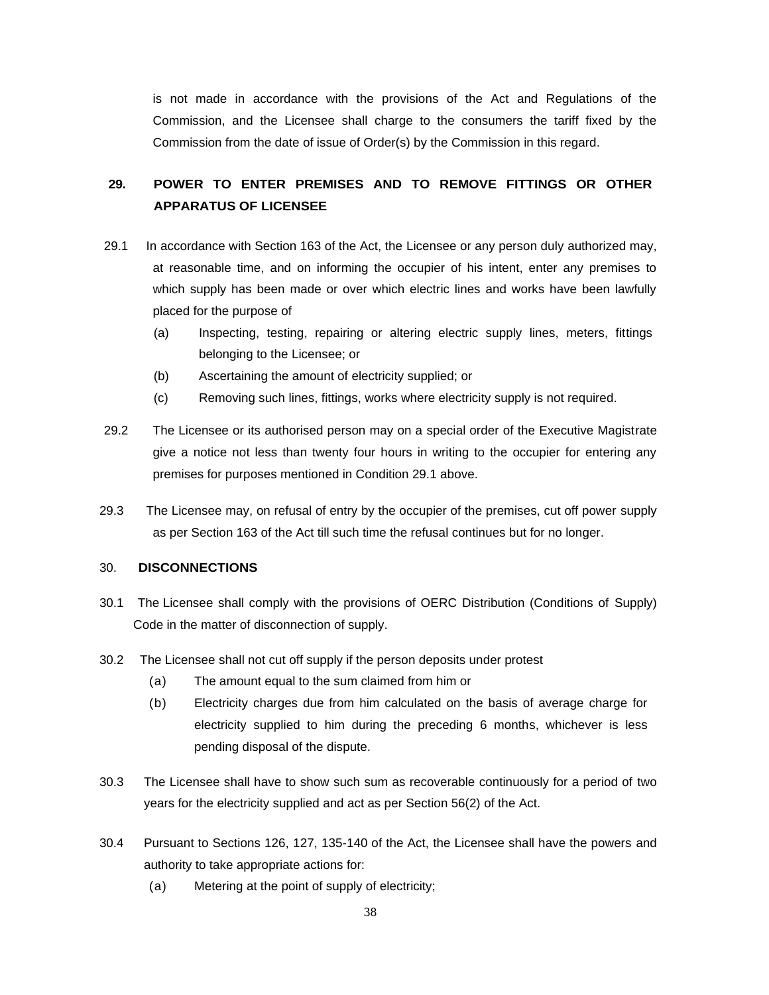is not made in accordance with the provisions of the Act and Regulations of the Commission, and the Licensee shall charge to the consumers the tariff fixed by the Commission from the date of issue of Order(s) by the Commission in this regard.

## **29. POWER TO ENTER PREMISES AND TO REMOVE FITTINGS OR OTHER APPARATUS OF LICENSEE**

- 29.1 In accordance with Section 163 of the Act, the Licensee or any person duly authorized may, at reasonable time, and on informing the occupier of his intent, enter any premises to which supply has been made or over which electric lines and works have been lawfully placed for the purpose of
	- (a) Inspecting, testing, repairing or altering electric supply lines, meters, fittings belonging to the Licensee; or
	- (b) Ascertaining the amount of electricity supplied; or
	- (c) Removing such lines, fittings, works where electricity supply is not required.
- 29.2 The Licensee or its authorised person may on a special order of the Executive Magistrate give a notice not less than twenty four hours in writing to the occupier for entering any premises for purposes mentioned in Condition 29.1 above.
- 29.3 The Licensee may, on refusal of entry by the occupier of the premises, cut off power supply as per Section 163 of the Act till such time the refusal continues but for no longer.

#### 30. **DISCONNECTIONS**

- 30.1 The Licensee shall comply with the provisions of OERC Distribution (Conditions of Supply) Code in the matter of disconnection of supply.
- 30.2 The Licensee shall not cut off supply if the person deposits under protest
	- (a) The amount equal to the sum claimed from him or
	- (b) Electricity charges due from him calculated on the basis of average charge for electricity supplied to him during the preceding 6 months, whichever is less pending disposal of the dispute.
- 30.3 The Licensee shall have to show such sum as recoverable continuously for a period of two years for the electricity supplied and act as per Section 56(2) of the Act.
- 30.4 Pursuant to Sections 126, 127, 135-140 of the Act, the Licensee shall have the powers and authority to take appropriate actions for:
	- (a) Metering at the point of supply of electricity;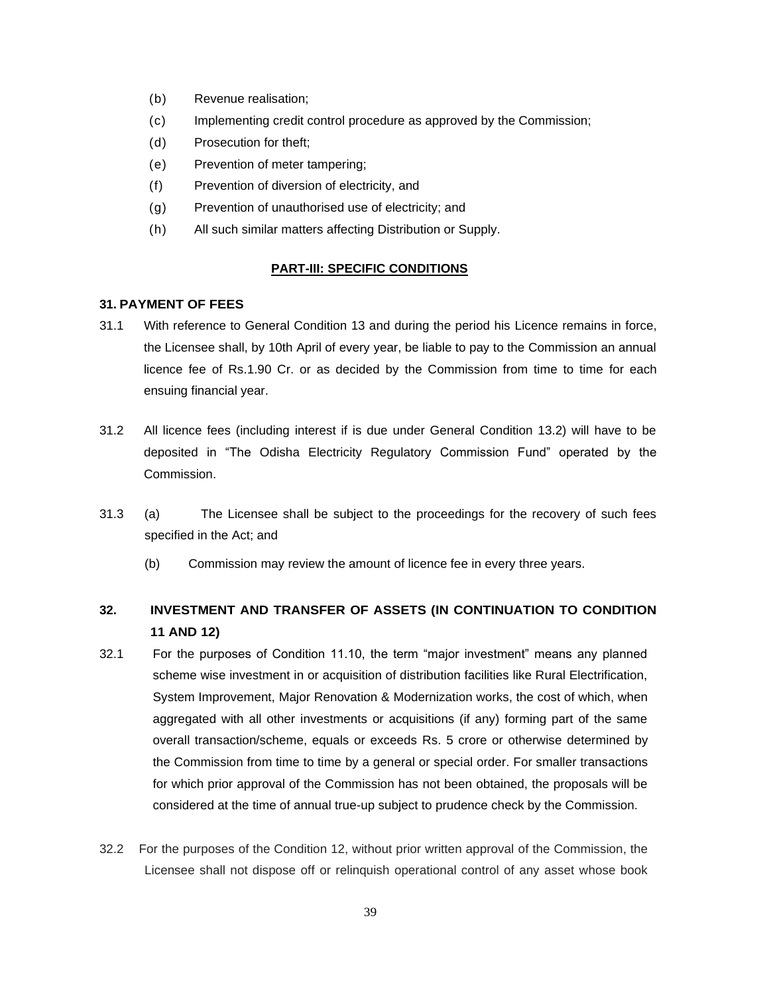- (b) Revenue realisation;
- (c) Implementing credit control procedure as approved by the Commission;
- (d) Prosecution for theft;
- (e) Prevention of meter tampering;
- (f) Prevention of diversion of electricity, and
- (g) Prevention of unauthorised use of electricity; and
- (h) All such similar matters affecting Distribution or Supply.

#### **PART-III: SPECIFIC CONDITIONS**

### **31. PAYMENT OF FEES**

- 31.1 With reference to General Condition 13 and during the period his Licence remains in force, the Licensee shall, by 10th April of every year, be liable to pay to the Commission an annual licence fee of Rs.1.90 Cr. or as decided by the Commission from time to time for each ensuing financial year.
- 31.2 All licence fees (including interest if is due under General Condition 13.2) will have to be deposited in "The Odisha Electricity Regulatory Commission Fund" operated by the Commission.
- 31.3 (a) The Licensee shall be subject to the proceedings for the recovery of such fees specified in the Act; and
	- (b) Commission may review the amount of licence fee in every three years.

## **32. INVESTMENT AND TRANSFER OF ASSETS (IN CONTINUATION TO CONDITION 11 AND 12)**

- 32.1 For the purposes of Condition 11.10, the term "major investment" means any planned scheme wise investment in or acquisition of distribution facilities like Rural Electrification, System Improvement, Major Renovation & Modernization works, the cost of which, when aggregated with all other investments or acquisitions (if any) forming part of the same overall transaction/scheme, equals or exceeds Rs. 5 crore or otherwise determined by the Commission from time to time by a general or special order. For smaller transactions for which prior approval of the Commission has not been obtained, the proposals will be considered at the time of annual true-up subject to prudence check by the Commission.
- 32.2 For the purposes of the Condition 12, without prior written approval of the Commission, the Licensee shall not dispose off or relinquish operational control of any asset whose book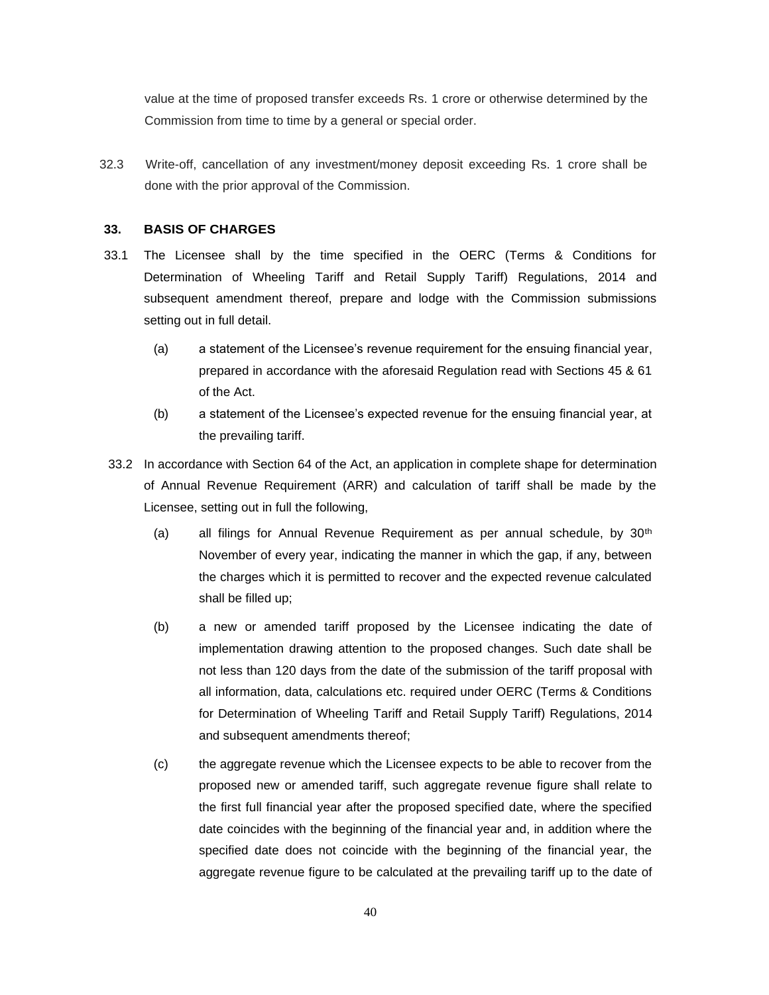value at the time of proposed transfer exceeds Rs. 1 crore or otherwise determined by the Commission from time to time by a general or special order.

32.3 Write-off, cancellation of any investment/money deposit exceeding Rs. 1 crore shall be done with the prior approval of the Commission.

#### **33. BASIS OF CHARGES**

- 33.1 The Licensee shall by the time specified in the OERC (Terms & Conditions for Determination of Wheeling Tariff and Retail Supply Tariff) Regulations, 2014 and subsequent amendment thereof, prepare and lodge with the Commission submissions setting out in full detail.
	- (a) a statement of the Licensee's revenue requirement for the ensuing financial year, prepared in accordance with the aforesaid Regulation read with Sections 45 & 61 of the Act.
	- (b) a statement of the Licensee's expected revenue for the ensuing financial year, at the prevailing tariff.
- 33.2 In accordance with Section 64 of the Act, an application in complete shape for determination of Annual Revenue Requirement (ARR) and calculation of tariff shall be made by the Licensee, setting out in full the following,
	- (a) all filings for Annual Revenue Requirement as per annual schedule, by  $30<sup>th</sup>$ November of every year, indicating the manner in which the gap, if any, between the charges which it is permitted to recover and the expected revenue calculated shall be filled up;
	- (b) a new or amended tariff proposed by the Licensee indicating the date of implementation drawing attention to the proposed changes. Such date shall be not less than 120 days from the date of the submission of the tariff proposal with all information, data, calculations etc. required under OERC (Terms & Conditions for Determination of Wheeling Tariff and Retail Supply Tariff) Regulations, 2014 and subsequent amendments thereof;
	- (c) the aggregate revenue which the Licensee expects to be able to recover from the proposed new or amended tariff, such aggregate revenue figure shall relate to the first full financial year after the proposed specified date, where the specified date coincides with the beginning of the financial year and, in addition where the specified date does not coincide with the beginning of the financial year, the aggregate revenue figure to be calculated at the prevailing tariff up to the date of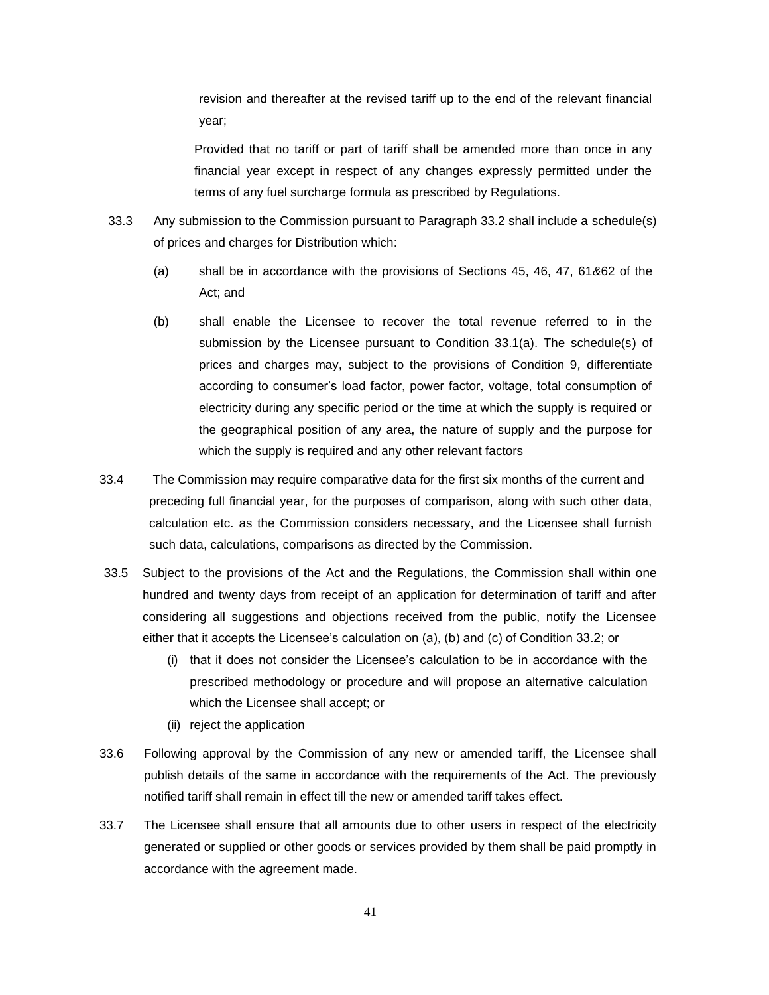revision and thereafter at the revised tariff up to the end of the relevant financial year;

Provided that no tariff or part of tariff shall be amended more than once in any financial year except in respect of any changes expressly permitted under the terms of any fuel surcharge formula as prescribed by Regulations.

- 33.3 Any submission to the Commission pursuant to Paragraph 33.2 shall include a schedule(s) of prices and charges for Distribution which:
	- (a) shall be in accordance with the provisions of Sections 45, 46, 47, 61*&*62 of the Act; and
	- (b) shall enable the Licensee to recover the total revenue referred to in the submission by the Licensee pursuant to Condition 33.1(a). The schedule(s) of prices and charges may, subject to the provisions of Condition 9*,* differentiate according to consumer's load factor, power factor, voltage, total consumption of electricity during any specific period or the time at which the supply is required or the geographical position of any area, the nature of supply and the purpose for which the supply is required and any other relevant factors
- 33.4 The Commission may require comparative data for the first six months of the current and preceding full financial year, for the purposes of comparison, along with such other data, calculation etc. as the Commission considers necessary, and the Licensee shall furnish such data, calculations, comparisons as directed by the Commission.
- 33.5 Subject to the provisions of the Act and the Regulations, the Commission shall within one hundred and twenty days from receipt of an application for determination of tariff and after considering all suggestions and objections received from the public, notify the Licensee either that it accepts the Licensee's calculation on (a), (b) and (c) of Condition 33.2; or
	- (i) that it does not consider the Licensee's calculation to be in accordance with the prescribed methodology or procedure and will propose an alternative calculation which the Licensee shall accept; or
	- (ii) reject the application
- 33.6 Following approval by the Commission of any new or amended tariff, the Licensee shall publish details of the same in accordance with the requirements of the Act. The previously notified tariff shall remain in effect till the new or amended tariff takes effect.
- 33.7 The Licensee shall ensure that all amounts due to other users in respect of the electricity generated or supplied or other goods or services provided by them shall be paid promptly in accordance with the agreement made.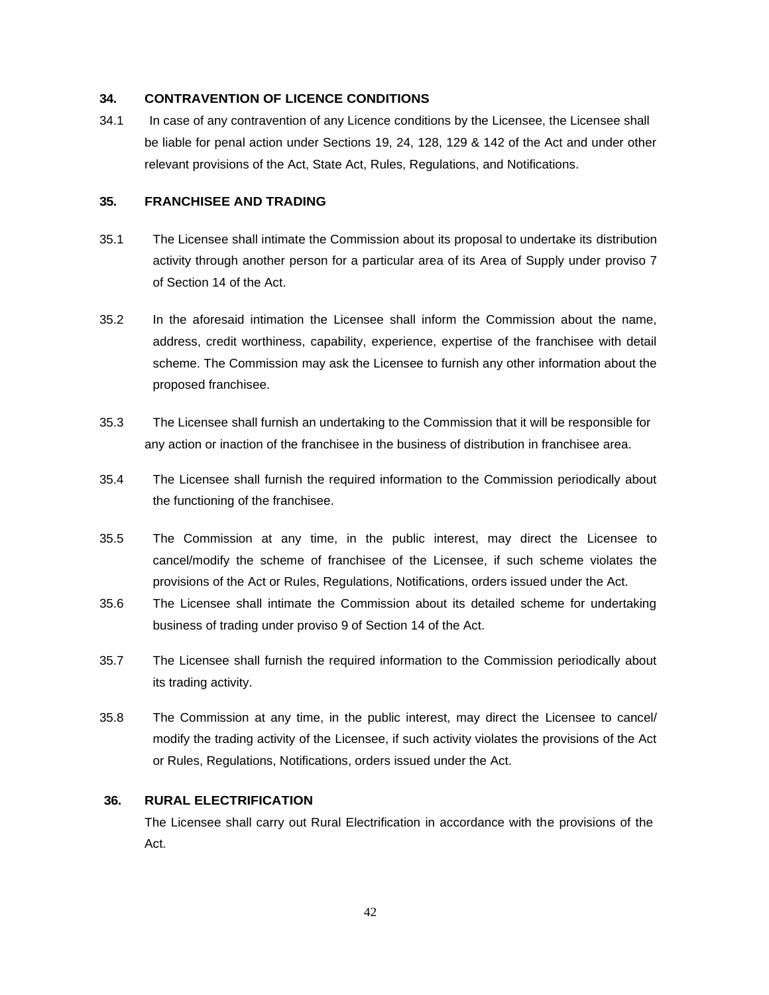### **34. CONTRAVENTION OF LICENCE CONDITIONS**

34.1 In case of any contravention of any Licence conditions by the Licensee, the Licensee shall be liable for penal action under Sections 19, 24, 128, 129 & 142 of the Act and under other relevant provisions of the Act, State Act, Rules, Regulations, and Notifications.

## **35. FRANCHISEE AND TRADING**

- 35.1 The Licensee shall intimate the Commission about its proposal to undertake its distribution activity through another person for a particular area of its Area of Supply under proviso 7 of Section 14 of the Act.
- 35.2 In the aforesaid intimation the Licensee shall inform the Commission about the name, address, credit worthiness, capability, experience, expertise of the franchisee with detail scheme. The Commission may ask the Licensee to furnish any other information about the proposed franchisee.
- 35.3 The Licensee shall furnish an undertaking to the Commission that it will be responsible for any action or inaction of the franchisee in the business of distribution in franchisee area.
- 35.4 The Licensee shall furnish the required information to the Commission periodically about the functioning of the franchisee.
- 35.5 The Commission at any time, in the public interest, may direct the Licensee to cancel/modify the scheme of franchisee of the Licensee, if such scheme violates the provisions of the Act or Rules, Regulations, Notifications, orders issued under the Act.
- 35.6 The Licensee shall intimate the Commission about its detailed scheme for undertaking business of trading under proviso 9 of Section 14 of the Act.
- 35.7 The Licensee shall furnish the required information to the Commission periodically about its trading activity.
- 35.8 The Commission at any time, in the public interest, may direct the Licensee to cancel/ modify the trading activity of the Licensee, if such activity violates the provisions of the Act or Rules, Regulations, Notifications, orders issued under the Act.

#### **36. RURAL ELECTRIFICATION**

The Licensee shall carry out Rural Electrification in accordance with the provisions of the Act.